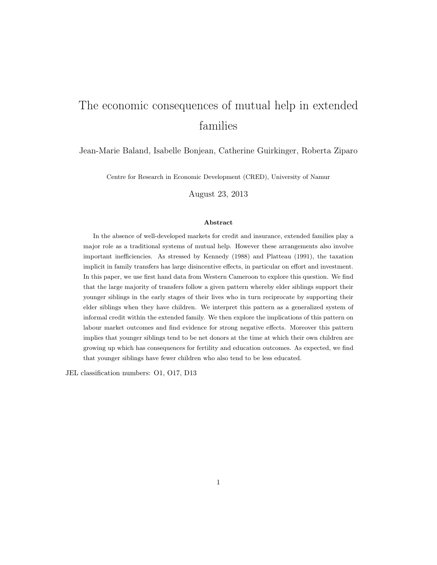# The economic consequences of mutual help in extended families

#### Jean-Marie Baland, Isabelle Bonjean, Catherine Guirkinger, Roberta Ziparo

Centre for Research in Economic Development (CRED), University of Namur

August 23, 2013

#### Abstract

In the absence of well-developed markets for credit and insurance, extended families play a major role as a traditional systems of mutual help. However these arrangements also involve important inefficiencies. As stressed by Kennedy (1988) and Platteau (1991), the taxation implicit in family transfers has large disincentive effects, in particular on effort and investment. In this paper, we use first hand data from Western Cameroon to explore this question. We find that the large majority of transfers follow a given pattern whereby elder siblings support their younger siblings in the early stages of their lives who in turn reciprocate by supporting their elder siblings when they have children. We interpret this pattern as a generalized system of informal credit within the extended family. We then explore the implications of this pattern on labour market outcomes and find evidence for strong negative effects. Moreover this pattern implies that younger siblings tend to be net donors at the time at which their own children are growing up which has consequences for fertility and education outcomes. As expected, we find that younger siblings have fewer children who also tend to be less educated.

JEL classification numbers: O1, O17, D13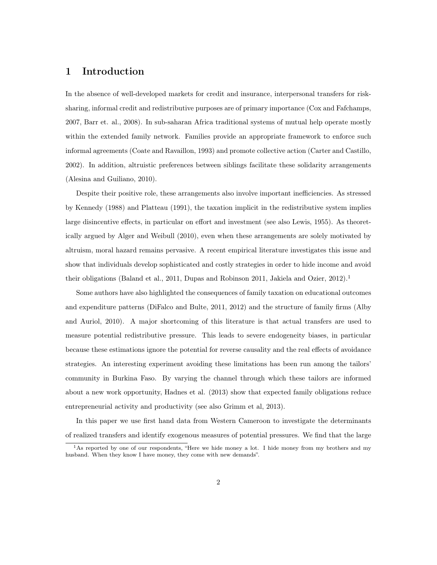#### 1 Introduction

In the absence of well-developed markets for credit and insurance, interpersonal transfers for risksharing, informal credit and redistributive purposes are of primary importance (Cox and Fafchamps, 2007, Barr et. al., 2008). In sub-saharan Africa traditional systems of mutual help operate mostly within the extended family network. Families provide an appropriate framework to enforce such informal agreements (Coate and Ravaillon, 1993) and promote collective action (Carter and Castillo, 2002). In addition, altruistic preferences between siblings facilitate these solidarity arrangements (Alesina and Guiliano, 2010).

Despite their positive role, these arrangements also involve important inefficiencies. As stressed by Kennedy (1988) and Platteau (1991), the taxation implicit in the redistributive system implies large disincentive effects, in particular on effort and investment (see also Lewis, 1955). As theoretically argued by Alger and Weibull (2010), even when these arrangements are solely motivated by altruism, moral hazard remains pervasive. A recent empirical literature investigates this issue and show that individuals develop sophisticated and costly strategies in order to hide income and avoid their obligations (Baland et al., 2011, Dupas and Robinson 2011, Jakiela and Ozier, 2012).<sup>1</sup>

Some authors have also highlighted the consequences of family taxation on educational outcomes and expenditure patterns (DiFalco and Bulte, 2011, 2012) and the structure of family firms (Alby and Auriol, 2010). A major shortcoming of this literature is that actual transfers are used to measure potential redistributive pressure. This leads to severe endogeneity biases, in particular because these estimations ignore the potential for reverse causality and the real effects of avoidance strategies. An interesting experiment avoiding these limitations has been run among the tailors' community in Burkina Faso. By varying the channel through which these tailors are informed about a new work opportunity, Hadnes et al. (2013) show that expected family obligations reduce entrepreneurial activity and productivity (see also Grimm et al, 2013).

In this paper we use first hand data from Western Cameroon to investigate the determinants of realized transfers and identify exogenous measures of potential pressures. We find that the large

<sup>&</sup>lt;sup>1</sup>As reported by one of our respondents, "Here we hide money a lot. I hide money from my brothers and my husband. When they know I have money, they come with new demands".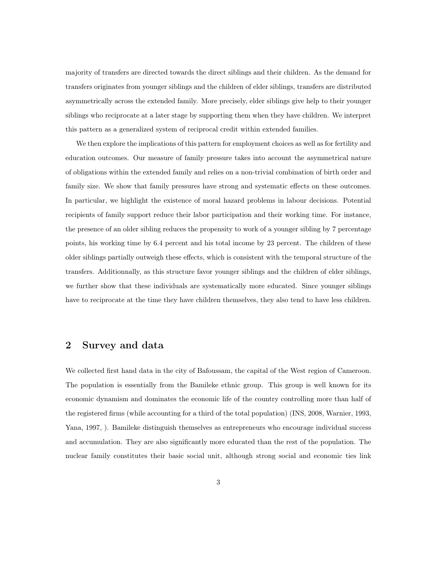majority of transfers are directed towards the direct siblings and their children. As the demand for transfers originates from younger siblings and the children of elder siblings, transfers are distributed asymmetrically across the extended family. More precisely, elder siblings give help to their younger siblings who reciprocate at a later stage by supporting them when they have children. We interpret this pattern as a generalized system of reciprocal credit within extended families.

We then explore the implications of this pattern for employment choices as well as for fertility and education outcomes. Our measure of family pressure takes into account the asymmetrical nature of obligations within the extended family and relies on a non-trivial combination of birth order and family size. We show that family pressures have strong and systematic effects on these outcomes. In particular, we highlight the existence of moral hazard problems in labour decisions. Potential recipients of family support reduce their labor participation and their working time. For instance, the presence of an older sibling reduces the propensity to work of a younger sibling by 7 percentage points, his working time by 6.4 percent and his total income by 23 percent. The children of these older siblings partially outweigh these effects, which is consistent with the temporal structure of the transfers. Additionnally, as this structure favor younger siblings and the children of elder siblings, we further show that these individuals are systematically more educated. Since younger siblings have to reciprocate at the time they have children themselves, they also tend to have less children.

### 2 Survey and data

We collected first hand data in the city of Bafoussam, the capital of the West region of Cameroon. The population is essentially from the Bamileke ethnic group. This group is well known for its economic dynamism and dominates the economic life of the country controlling more than half of the registered firms (while accounting for a third of the total population) (INS, 2008, Warnier, 1993, Yana, 1997, ). Bamileke distinguish themselves as entrepreneurs who encourage individual success and accumulation. They are also significantly more educated than the rest of the population. The nuclear family constitutes their basic social unit, although strong social and economic ties link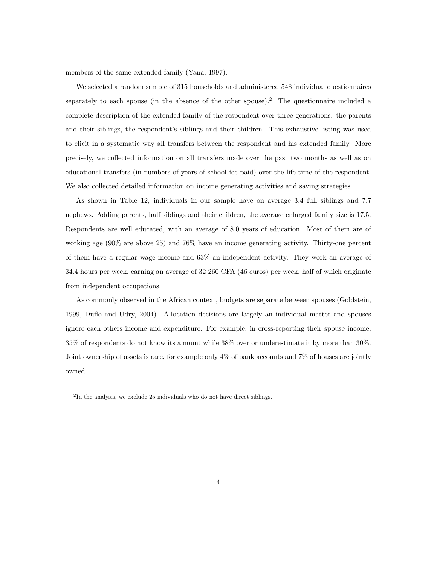members of the same extended family (Yana, 1997).

We selected a random sample of 315 households and administered 548 individual questionnaires separately to each spouse (in the absence of the other spouse).<sup>2</sup> The questionnaire included a complete description of the extended family of the respondent over three generations: the parents and their siblings, the respondent's siblings and their children. This exhaustive listing was used to elicit in a systematic way all transfers between the respondent and his extended family. More precisely, we collected information on all transfers made over the past two months as well as on educational transfers (in numbers of years of school fee paid) over the life time of the respondent. We also collected detailed information on income generating activities and saving strategies.

As shown in Table 12, individuals in our sample have on average 3.4 full siblings and 7.7 nephews. Adding parents, half siblings and their children, the average enlarged family size is 17.5. Respondents are well educated, with an average of 8.0 years of education. Most of them are of working age (90% are above 25) and 76% have an income generating activity. Thirty-one percent of them have a regular wage income and 63% an independent activity. They work an average of 34.4 hours per week, earning an average of 32 260 CFA (46 euros) per week, half of which originate from independent occupations.

As commonly observed in the African context, budgets are separate between spouses (Goldstein, 1999, Duflo and Udry, 2004). Allocation decisions are largely an individual matter and spouses ignore each others income and expenditure. For example, in cross-reporting their spouse income, 35% of respondents do not know its amount while 38% over or underestimate it by more than 30%. Joint ownership of assets is rare, for example only 4% of bank accounts and 7% of houses are jointly owned.

<sup>&</sup>lt;sup>2</sup>In the analysis, we exclude 25 individuals who do not have direct siblings.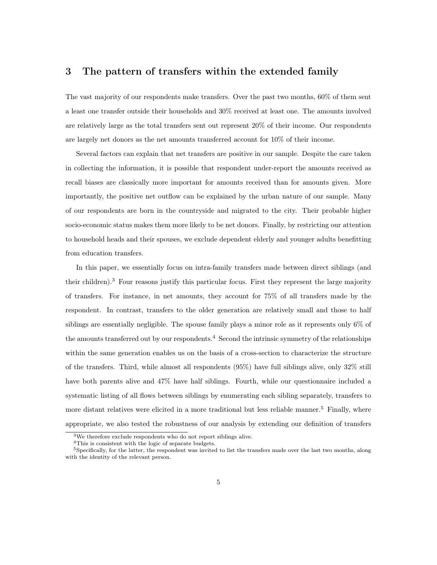### 3 The pattern of transfers within the extended family

The vast majority of our respondents make transfers. Over the past two months, 60% of them sent a least one transfer outside their households and 30% received at least one. The amounts involved are relatively large as the total transfers sent out represent 20% of their income. Our respondents are largely net donors as the net amounts transferred account for 10% of their income.

Several factors can explain that net transfers are positive in our sample. Despite the care taken in collecting the information, it is possible that respondent under-report the amounts received as recall biases are classically more important for amounts received than for amounts given. More importantly, the positive net outflow can be explained by the urban nature of our sample. Many of our respondents are born in the countryside and migrated to the city. Their probable higher socio-economic status makes them more likely to be net donors. Finally, by restricting our attention to household heads and their spouses, we exclude dependent elderly and younger adults benefitting from education transfers.

In this paper, we essentially focus on intra-family transfers made between direct siblings (and their children).<sup>3</sup> Four reasons justify this particular focus. First they represent the large majority of transfers. For instance, in net amounts, they account for 75% of all transfers made by the respondent. In contrast, transfers to the older generation are relatively small and those to half siblings are essentially negligible. The spouse family plays a minor role as it represents only 6% of the amounts transferred out by our respondents.<sup>4</sup> Second the intrinsic symmetry of the relationships within the same generation enables us on the basis of a cross-section to characterize the structure of the transfers. Third, while almost all respondents (95%) have full siblings alive, only 32% still have both parents alive and 47% have half siblings. Fourth, while our questionnaire included a systematic listing of all flows between siblings by enumerating each sibling separately, transfers to more distant relatives were elicited in a more traditional but less reliable manner.<sup>5</sup> Finally, where appropriate, we also tested the robustness of our analysis by extending our definition of transfers

<sup>3</sup>We therefore exclude respondents who do not report siblings alive.

<sup>4</sup>This is consistent with the logic of separate budgets.

<sup>&</sup>lt;sup>5</sup>Specifically, for the latter, the respondent was invited to list the transfers made over the last two months, along with the identity of the relevant person.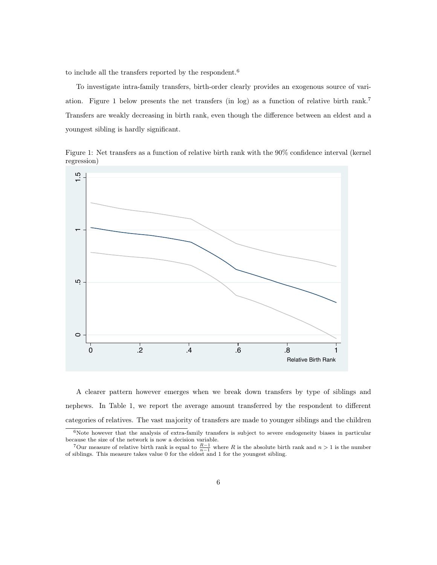to include all the transfers reported by the respondent.<sup>6</sup>

To investigate intra-family transfers, birth-order clearly provides an exogenous source of variation. Figure 1 below presents the net transfers (in log) as a function of relative birth rank.<sup>7</sup> Transfers are weakly decreasing in birth rank, even though the difference between an eldest and a youngest sibling is hardly significant.

Figure 1: Net transfers as a function of relative birth rank with the 90% confidence interval (kernel regression)



A clearer pattern however emerges when we break down transfers by type of siblings and nephews. In Table 1, we report the average amount transferred by the respondent to different categories of relatives. The vast majority of transfers are made to younger siblings and the children

 $6$ Note however that the analysis of extra-family transfers is subject to severe endogeneity biases in particular because the size of the network is now a decision variable.

<sup>&</sup>lt;sup>7</sup>Our measure of relative birth rank is equal to  $\frac{R-1}{n-1}$  where R is the absolute birth rank and  $n > 1$  is the number of siblings. This measure takes value 0 for the eldest and 1 for the youngest sibling.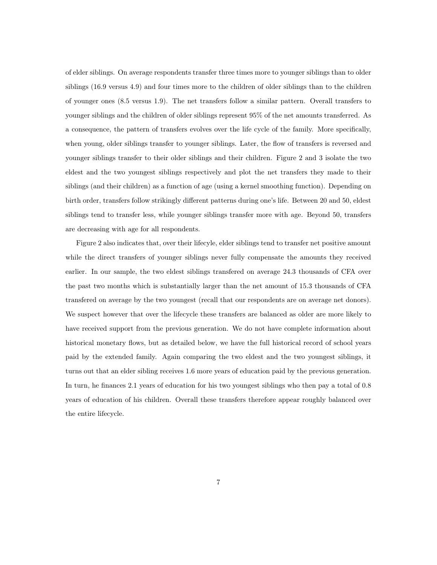of elder siblings. On average respondents transfer three times more to younger siblings than to older siblings (16.9 versus 4.9) and four times more to the children of older siblings than to the children of younger ones (8.5 versus 1.9). The net transfers follow a similar pattern. Overall transfers to younger siblings and the children of older siblings represent 95% of the net amounts transferred. As a consequence, the pattern of transfers evolves over the life cycle of the family. More specifically, when young, older siblings transfer to younger siblings. Later, the flow of transfers is reversed and younger siblings transfer to their older siblings and their children. Figure 2 and 3 isolate the two eldest and the two youngest siblings respectively and plot the net transfers they made to their siblings (and their children) as a function of age (using a kernel smoothing function). Depending on birth order, transfers follow strikingly different patterns during one's life. Between 20 and 50, eldest siblings tend to transfer less, while younger siblings transfer more with age. Beyond 50, transfers are decreasing with age for all respondents.

Figure 2 also indicates that, over their lifecyle, elder siblings tend to transfer net positive amount while the direct transfers of younger siblings never fully compensate the amounts they received earlier. In our sample, the two eldest siblings transfered on average 24.3 thousands of CFA over the past two months which is substantially larger than the net amount of 15.3 thousands of CFA transfered on average by the two youngest (recall that our respondents are on average net donors). We suspect however that over the lifecycle these transfers are balanced as older are more likely to have received support from the previous generation. We do not have complete information about historical monetary flows, but as detailed below, we have the full historical record of school years paid by the extended family. Again comparing the two eldest and the two youngest siblings, it turns out that an elder sibling receives 1.6 more years of education paid by the previous generation. In turn, he finances 2.1 years of education for his two youngest siblings who then pay a total of 0.8 years of education of his children. Overall these transfers therefore appear roughly balanced over the entire lifecycle.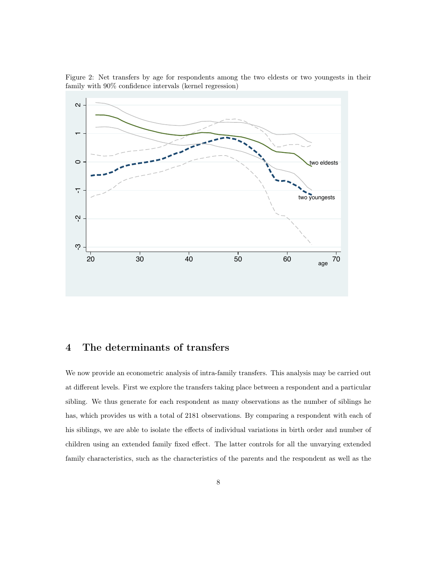Figure 2: Net transfers by age for respondents among the two eldests or two youngests in their family with 90% confidence intervals (kernel regression)



#### 4 The determinants of transfers

We now provide an econometric analysis of intra-family transfers. This analysis may be carried out at different levels. First we explore the transfers taking place between a respondent and a particular sibling. We thus generate for each respondent as many observations as the number of siblings he has, which provides us with a total of 2181 observations. By comparing a respondent with each of his siblings, we are able to isolate the effects of individual variations in birth order and number of children using an extended family fixed effect. The latter controls for all the unvarying extended family characteristics, such as the characteristics of the parents and the respondent as well as the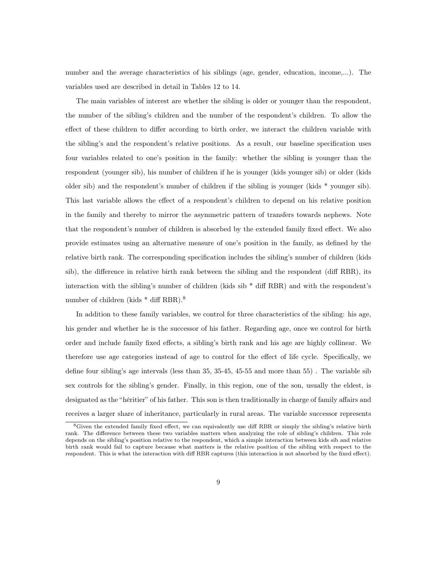number and the average characteristics of his siblings (age, gender, education, income,...). The variables used are described in detail in Tables 12 to 14.

The main variables of interest are whether the sibling is older or younger than the respondent, the number of the sibling's children and the number of the respondent's children. To allow the effect of these children to differ according to birth order, we interact the children variable with the sibling's and the respondent's relative positions. As a result, our baseline specification uses four variables related to one's position in the family: whether the sibling is younger than the respondent (younger sib), his number of children if he is younger (kids younger sib) or older (kids older sib) and the respondent's number of children if the sibling is younger (kids \* younger sib). This last variable allows the effect of a respondent's children to depend on his relative position in the family and thereby to mirror the asymmetric pattern of transfers towards nephews. Note that the respondent's number of children is absorbed by the extended family fixed effect. We also provide estimates using an alternative measure of one's position in the family, as defined by the relative birth rank. The corresponding specification includes the sibling's number of children (kids sib), the difference in relative birth rank between the sibling and the respondent (diff RBR), its interaction with the sibling's number of children (kids  $sib * diff RBR$ ) and with the respondent's number of children (kids \* diff RBR).<sup>8</sup>

In addition to these family variables, we control for three characteristics of the sibling: his age, his gender and whether he is the successor of his father. Regarding age, once we control for birth order and include family fixed effects, a sibling's birth rank and his age are highly collinear. We therefore use age categories instead of age to control for the effect of life cycle. Specifically, we define four sibling's age intervals (less than 35, 35-45, 45-55 and more than 55) . The variable sib sex controls for the sibling's gender. Finally, in this region, one of the son, usually the eldest, is designated as the "héritier" of his father. This son is then traditionally in charge of family affairs and receives a larger share of inheritance, particularly in rural areas. The variable successor represents

<sup>8</sup>Given the extended family fixed effect, we can equivalently use diff RBR or simply the sibling's relative birth rank. The difference between these two variables matters when analyzing the role of sibling's children. This role depends on the sibling's position relative to the respondent, which a simple interaction between kids sib and relative birth rank would fail to capture because what matters is the relative position of the sibling with respect to the respondent. This is what the interaction with diff RBR captures (this interaction is not absorbed by the fixed effect).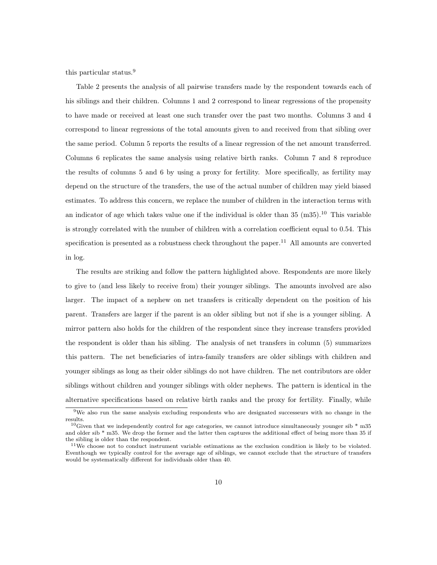this particular status.<sup>9</sup>

Table 2 presents the analysis of all pairwise transfers made by the respondent towards each of his siblings and their children. Columns 1 and 2 correspond to linear regressions of the propensity to have made or received at least one such transfer over the past two months. Columns 3 and 4 correspond to linear regressions of the total amounts given to and received from that sibling over the same period. Column 5 reports the results of a linear regression of the net amount transferred. Columns 6 replicates the same analysis using relative birth ranks. Column 7 and 8 reproduce the results of columns 5 and 6 by using a proxy for fertility. More specifically, as fertility may depend on the structure of the transfers, the use of the actual number of children may yield biased estimates. To address this concern, we replace the number of children in the interaction terms with an indicator of age which takes value one if the individual is older than  $35 \ (m35)$ .<sup>10</sup> This variable is strongly correlated with the number of children with a correlation coefficient equal to 0.54. This specification is presented as a robustness check throughout the paper.<sup>11</sup> All amounts are converted in log.

The results are striking and follow the pattern highlighted above. Respondents are more likely to give to (and less likely to receive from) their younger siblings. The amounts involved are also larger. The impact of a nephew on net transfers is critically dependent on the position of his parent. Transfers are larger if the parent is an older sibling but not if she is a younger sibling. A mirror pattern also holds for the children of the respondent since they increase transfers provided the respondent is older than his sibling. The analysis of net transfers in column (5) summarizes this pattern. The net beneficiaries of intra-family transfers are older siblings with children and younger siblings as long as their older siblings do not have children. The net contributors are older siblings without children and younger siblings with older nephews. The pattern is identical in the alternative specifications based on relative birth ranks and the proxy for fertility. Finally, while

<sup>9</sup>We also run the same analysis excluding respondents who are designated successeurs with no change in the results.

<sup>&</sup>lt;sup>10</sup>Given that we independently control for age categories, we cannot introduce simultaneously younger sib  $*$  m35 and older sib \* m35. We drop the former and the latter then captures the additional effect of being more than 35 if the sibling is older than the respondent.

<sup>11</sup>We choose not to conduct instrument variable estimations as the exclusion condition is likely to be violated. Eventhough we typically control for the average age of siblings, we cannot exclude that the structure of transfers would be systematically different for individuals older than 40.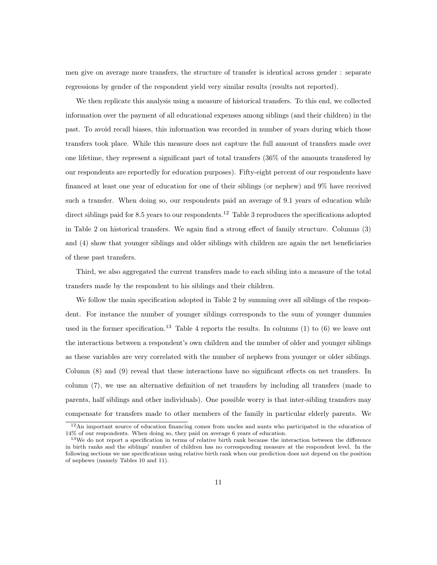men give on average more transfers, the structure of transfer is identical across gender : separate regressions by gender of the respondent yield very similar results (results not reported).

We then replicate this analysis using a measure of historical transfers. To this end, we collected information over the payment of all educational expenses among siblings (and their children) in the past. To avoid recall biases, this information was recorded in number of years during which those transfers took place. While this measure does not capture the full amount of transfers made over one lifetime, they represent a significant part of total transfers (36% of the amounts transfered by our respondents are reportedly for education purposes). Fifty-eight percent of our respondents have financed at least one year of education for one of their siblings (or nephew) and 9% have received such a transfer. When doing so, our respondents paid an average of 9.1 years of education while direct siblings paid for 8.5 years to our respondents.<sup>12</sup> Table 3 reproduces the specifications adopted in Table 2 on historical transfers. We again find a strong effect of family structure. Columns (3) and (4) show that younger siblings and older siblings with children are again the net beneficiaries of these past transfers.

Third, we also aggregated the current transfers made to each sibling into a measure of the total transfers made by the respondent to his siblings and their children.

We follow the main specification adopted in Table 2 by summing over all siblings of the respondent. For instance the number of younger siblings corresponds to the sum of younger dummies used in the former specification.<sup>13</sup> Table 4 reports the results. In columns (1) to (6) we leave out the interactions between a respondent's own children and the number of older and younger siblings as these variables are very correlated with the number of nephews from younger or older siblings. Column (8) and (9) reveal that these interactions have no significant effects on net transfers. In column (7), we use an alternative definition of net transfers by including all transfers (made to parents, half siblings and other individuals). One possible worry is that inter-sibling transfers may compensate for transfers made to other members of the family in particular elderly parents. We

<sup>12</sup>An important source of education financing comes from uncles and aunts who participated in the education of 14% of our respondents. When doing so, they paid on average 6 years of education.

<sup>&</sup>lt;sup>13</sup>We do not report a specification in terms of relative birth rank because the interaction between the difference in birth ranks and the siblings' number of children has no corresponding measure at the respondent level. In the following sections we use specifications using relative birth rank when our prediction does not depend on the position of nephews (namely Tables 10 and 11).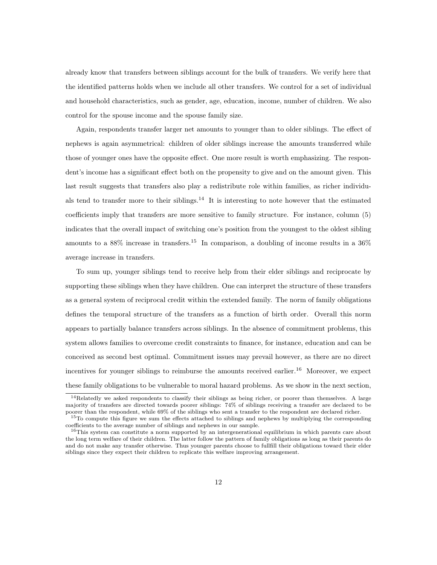already know that transfers between siblings account for the bulk of transfers. We verify here that the identified patterns holds when we include all other transfers. We control for a set of individual and household characteristics, such as gender, age, education, income, number of children. We also control for the spouse income and the spouse family size.

Again, respondents transfer larger net amounts to younger than to older siblings. The effect of nephews is again asymmetrical: children of older siblings increase the amounts transferred while those of younger ones have the opposite effect. One more result is worth emphasizing. The respondent's income has a significant effect both on the propensity to give and on the amount given. This last result suggests that transfers also play a redistribute role within families, as richer individuals tend to transfer more to their siblings.<sup>14</sup> It is interesting to note however that the estimated coefficients imply that transfers are more sensitive to family structure. For instance, column (5) indicates that the overall impact of switching one's position from the youngest to the oldest sibling amounts to a  $88\%$  increase in transfers.<sup>15</sup> In comparison, a doubling of income results in a  $36\%$ average increase in transfers.

To sum up, younger siblings tend to receive help from their elder siblings and reciprocate by supporting these siblings when they have children. One can interpret the structure of these transfers as a general system of reciprocal credit within the extended family. The norm of family obligations defines the temporal structure of the transfers as a function of birth order. Overall this norm appears to partially balance transfers across siblings. In the absence of commitment problems, this system allows families to overcome credit constraints to finance, for instance, education and can be conceived as second best optimal. Commitment issues may prevail however, as there are no direct incentives for younger siblings to reimburse the amounts received earlier.<sup>16</sup> Moreover, we expect these family obligations to be vulnerable to moral hazard problems. As we show in the next section,

<sup>&</sup>lt;sup>14</sup>Relatedly we asked respondents to classify their siblings as being richer, or poorer than themselves. A large majority of transfers are directed towards poorer siblings: 74% of siblings receiving a transfer are declared to be poorer than the respondent, while 69% of the siblings who sent a transfer to the respondent are declared richer.

<sup>&</sup>lt;sup>15</sup>To compute this figure we sum the effects attached to siblings and nephews by multiplying the corresponding coefficients to the average number of siblings and nephews in our sample.

<sup>&</sup>lt;sup>16</sup>This system can constitute a norm supported by an intergenerational equilibrium in which parents care about the long term welfare of their children. The latter follow the pattern of family obligations as long as their parents do and do not make any transfer otherwise. Thus younger parents choose to fullfill their obligations toward their elder siblings since they expect their children to replicate this welfare improving arrangement.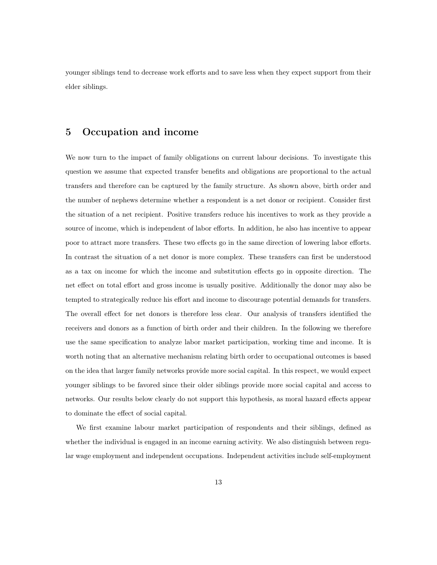younger siblings tend to decrease work efforts and to save less when they expect support from their elder siblings.

#### 5 Occupation and income

We now turn to the impact of family obligations on current labour decisions. To investigate this question we assume that expected transfer benefits and obligations are proportional to the actual transfers and therefore can be captured by the family structure. As shown above, birth order and the number of nephews determine whether a respondent is a net donor or recipient. Consider first the situation of a net recipient. Positive transfers reduce his incentives to work as they provide a source of income, which is independent of labor efforts. In addition, he also has incentive to appear poor to attract more transfers. These two effects go in the same direction of lowering labor efforts. In contrast the situation of a net donor is more complex. These transfers can first be understood as a tax on income for which the income and substitution effects go in opposite direction. The net effect on total effort and gross income is usually positive. Additionally the donor may also be tempted to strategically reduce his effort and income to discourage potential demands for transfers. The overall effect for net donors is therefore less clear. Our analysis of transfers identified the receivers and donors as a function of birth order and their children. In the following we therefore use the same specification to analyze labor market participation, working time and income. It is worth noting that an alternative mechanism relating birth order to occupational outcomes is based on the idea that larger family networks provide more social capital. In this respect, we would expect younger siblings to be favored since their older siblings provide more social capital and access to networks. Our results below clearly do not support this hypothesis, as moral hazard effects appear to dominate the effect of social capital.

We first examine labour market participation of respondents and their siblings, defined as whether the individual is engaged in an income earning activity. We also distinguish between regular wage employment and independent occupations. Independent activities include self-employment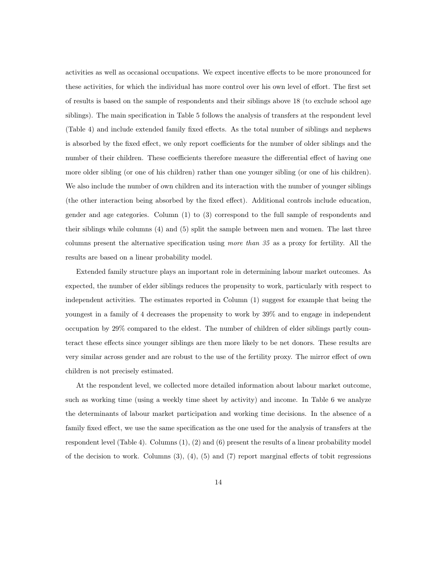activities as well as occasional occupations. We expect incentive effects to be more pronounced for these activities, for which the individual has more control over his own level of effort. The first set of results is based on the sample of respondents and their siblings above 18 (to exclude school age siblings). The main specification in Table 5 follows the analysis of transfers at the respondent level (Table 4) and include extended family fixed effects. As the total number of siblings and nephews is absorbed by the fixed effect, we only report coefficients for the number of older siblings and the number of their children. These coefficients therefore measure the differential effect of having one more older sibling (or one of his children) rather than one younger sibling (or one of his children). We also include the number of own children and its interaction with the number of younger siblings (the other interaction being absorbed by the fixed effect). Additional controls include education, gender and age categories. Column (1) to (3) correspond to the full sample of respondents and their siblings while columns (4) and (5) split the sample between men and women. The last three columns present the alternative specification using more than 35 as a proxy for fertility. All the results are based on a linear probability model.

Extended family structure plays an important role in determining labour market outcomes. As expected, the number of elder siblings reduces the propensity to work, particularly with respect to independent activities. The estimates reported in Column (1) suggest for example that being the youngest in a family of 4 decreases the propensity to work by 39% and to engage in independent occupation by 29% compared to the eldest. The number of children of elder siblings partly counteract these effects since younger siblings are then more likely to be net donors. These results are very similar across gender and are robust to the use of the fertility proxy. The mirror effect of own children is not precisely estimated.

At the respondent level, we collected more detailed information about labour market outcome, such as working time (using a weekly time sheet by activity) and income. In Table 6 we analyze the determinants of labour market participation and working time decisions. In the absence of a family fixed effect, we use the same specification as the one used for the analysis of transfers at the respondent level (Table 4). Columns (1), (2) and (6) present the results of a linear probability model of the decision to work. Columns  $(3)$ ,  $(4)$ ,  $(5)$  and  $(7)$  report marginal effects of tobit regressions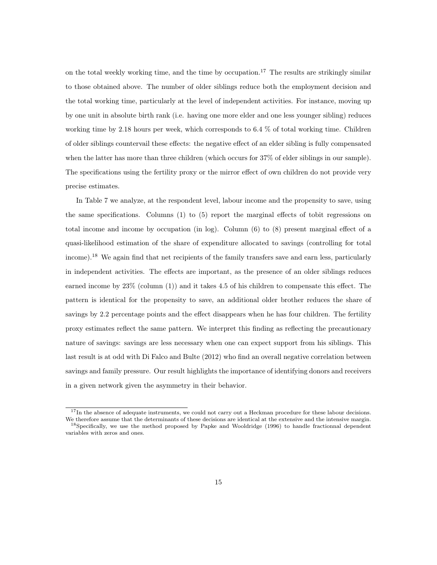on the total weekly working time, and the time by occupation.<sup>17</sup> The results are strikingly similar to those obtained above. The number of older siblings reduce both the employment decision and the total working time, particularly at the level of independent activities. For instance, moving up by one unit in absolute birth rank (i.e. having one more elder and one less younger sibling) reduces working time by 2.18 hours per week, which corresponds to 6.4 % of total working time. Children of older siblings countervail these effects: the negative effect of an elder sibling is fully compensated when the latter has more than three children (which occurs for 37% of elder siblings in our sample). The specifications using the fertility proxy or the mirror effect of own children do not provide very precise estimates.

In Table 7 we analyze, at the respondent level, labour income and the propensity to save, using the same specifications. Columns (1) to (5) report the marginal effects of tobit regressions on total income and income by occupation (in log). Column (6) to (8) present marginal effect of a quasi-likelihood estimation of the share of expenditure allocated to savings (controlling for total income).<sup>18</sup> We again find that net recipients of the family transfers save and earn less, particularly in independent activities. The effects are important, as the presence of an older siblings reduces earned income by 23% (column (1)) and it takes 4.5 of his children to compensate this effect. The pattern is identical for the propensity to save, an additional older brother reduces the share of savings by 2.2 percentage points and the effect disappears when he has four children. The fertility proxy estimates reflect the same pattern. We interpret this finding as reflecting the precautionary nature of savings: savings are less necessary when one can expect support from his siblings. This last result is at odd with Di Falco and Bulte (2012) who find an overall negative correlation between savings and family pressure. Our result highlights the importance of identifying donors and receivers in a given network given the asymmetry in their behavior.

<sup>&</sup>lt;sup>17</sup>In the absence of adequate instruments, we could not carry out a Heckman procedure for these labour decisions. We therefore assume that the determinants of these decisions are identical at the extensive and the intensive margin. <sup>18</sup>Specifically, we use the method proposed by Papke and Wooldridge (1996) to handle fractionnal dependent

variables with zeros and ones.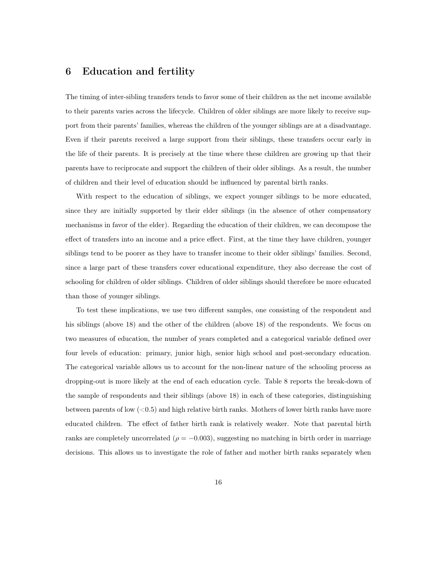#### 6 Education and fertility

The timing of inter-sibling transfers tends to favor some of their children as the net income available to their parents varies across the lifecycle. Children of older siblings are more likely to receive support from their parents' families, whereas the children of the younger siblings are at a disadvantage. Even if their parents received a large support from their siblings, these transfers occur early in the life of their parents. It is precisely at the time where these children are growing up that their parents have to reciprocate and support the children of their older siblings. As a result, the number of children and their level of education should be influenced by parental birth ranks.

With respect to the education of siblings, we expect younger siblings to be more educated, since they are initially supported by their elder siblings (in the absence of other compensatory mechanisms in favor of the elder). Regarding the education of their children, we can decompose the effect of transfers into an income and a price effect. First, at the time they have children, younger siblings tend to be poorer as they have to transfer income to their older siblings' families. Second, since a large part of these transfers cover educational expenditure, they also decrease the cost of schooling for children of older siblings. Children of older siblings should therefore be more educated than those of younger siblings.

To test these implications, we use two different samples, one consisting of the respondent and his siblings (above 18) and the other of the children (above 18) of the respondents. We focus on two measures of education, the number of years completed and a categorical variable defined over four levels of education: primary, junior high, senior high school and post-secondary education. The categorical variable allows us to account for the non-linear nature of the schooling process as dropping-out is more likely at the end of each education cycle. Table 8 reports the break-down of the sample of respondents and their siblings (above 18) in each of these categories, distinguishing between parents of low  $( $0.5$ ) and high relative birth ranks. Mothers of lower birth ranks have more$ educated children. The effect of father birth rank is relatively weaker. Note that parental birth ranks are completely uncorrelated ( $\rho = -0.003$ ), suggesting no matching in birth order in marriage decisions. This allows us to investigate the role of father and mother birth ranks separately when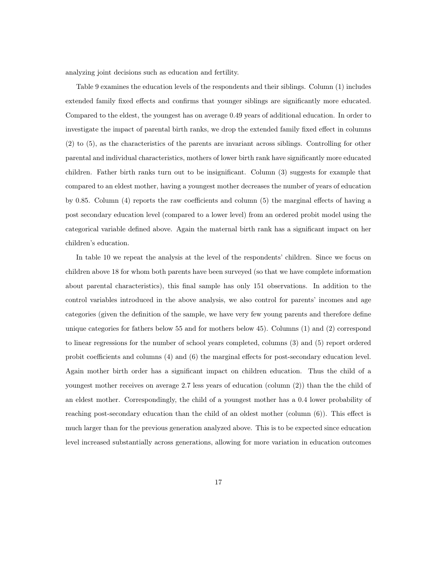analyzing joint decisions such as education and fertility.

Table 9 examines the education levels of the respondents and their siblings. Column (1) includes extended family fixed effects and confirms that younger siblings are significantly more educated. Compared to the eldest, the youngest has on average 0.49 years of additional education. In order to investigate the impact of parental birth ranks, we drop the extended family fixed effect in columns (2) to (5), as the characteristics of the parents are invariant across siblings. Controlling for other parental and individual characteristics, mothers of lower birth rank have significantly more educated children. Father birth ranks turn out to be insignificant. Column (3) suggests for example that compared to an eldest mother, having a youngest mother decreases the number of years of education by 0.85. Column (4) reports the raw coefficients and column (5) the marginal effects of having a post secondary education level (compared to a lower level) from an ordered probit model using the categorical variable defined above. Again the maternal birth rank has a significant impact on her children's education.

In table 10 we repeat the analysis at the level of the respondents' children. Since we focus on children above 18 for whom both parents have been surveyed (so that we have complete information about parental characteristics), this final sample has only 151 observations. In addition to the control variables introduced in the above analysis, we also control for parents' incomes and age categories (given the definition of the sample, we have very few young parents and therefore define unique categories for fathers below 55 and for mothers below 45). Columns (1) and (2) correspond to linear regressions for the number of school years completed, columns (3) and (5) report ordered probit coefficients and columns (4) and (6) the marginal effects for post-secondary education level. Again mother birth order has a significant impact on children education. Thus the child of a youngest mother receives on average 2.7 less years of education (column (2)) than the the child of an eldest mother. Correspondingly, the child of a youngest mother has a 0.4 lower probability of reaching post-secondary education than the child of an oldest mother (column (6)). This effect is much larger than for the previous generation analyzed above. This is to be expected since education level increased substantially across generations, allowing for more variation in education outcomes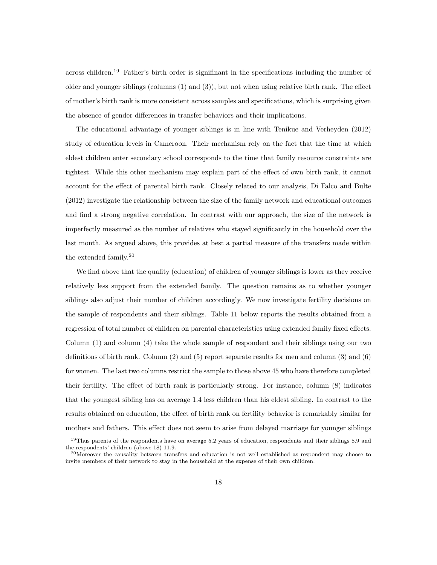across children.<sup>19</sup> Father's birth order is signifinant in the specifications including the number of older and younger siblings (columns (1) and (3)), but not when using relative birth rank. The effect of mother's birth rank is more consistent across samples and specifications, which is surprising given the absence of gender differences in transfer behaviors and their implications.

The educational advantage of younger siblings is in line with Tenikue and Verheyden (2012) study of education levels in Cameroon. Their mechanism rely on the fact that the time at which eldest children enter secondary school corresponds to the time that family resource constraints are tightest. While this other mechanism may explain part of the effect of own birth rank, it cannot account for the effect of parental birth rank. Closely related to our analysis, Di Falco and Bulte (2012) investigate the relationship between the size of the family network and educational outcomes and find a strong negative correlation. In contrast with our approach, the size of the network is imperfectly measured as the number of relatives who stayed significantly in the household over the last month. As argued above, this provides at best a partial measure of the transfers made within the extended family.<sup>20</sup>

We find above that the quality (education) of children of younger siblings is lower as they receive relatively less support from the extended family. The question remains as to whether younger siblings also adjust their number of children accordingly. We now investigate fertility decisions on the sample of respondents and their siblings. Table 11 below reports the results obtained from a regression of total number of children on parental characteristics using extended family fixed effects. Column (1) and column (4) take the whole sample of respondent and their siblings using our two definitions of birth rank. Column (2) and (5) report separate results for men and column (3) and (6) for women. The last two columns restrict the sample to those above 45 who have therefore completed their fertility. The effect of birth rank is particularly strong. For instance, column (8) indicates that the youngest sibling has on average 1.4 less children than his eldest sibling. In contrast to the results obtained on education, the effect of birth rank on fertility behavior is remarkably similar for mothers and fathers. This effect does not seem to arise from delayed marriage for younger siblings

<sup>&</sup>lt;sup>19</sup>Thus parents of the respondents have on average 5.2 years of education, respondents and their siblings 8.9 and the respondents' children (above 18) 11.9.

<sup>&</sup>lt;sup>20</sup>Moreover the causality between transfers and education is not well established as respondent may choose to invite members of their network to stay in the household at the expense of their own children.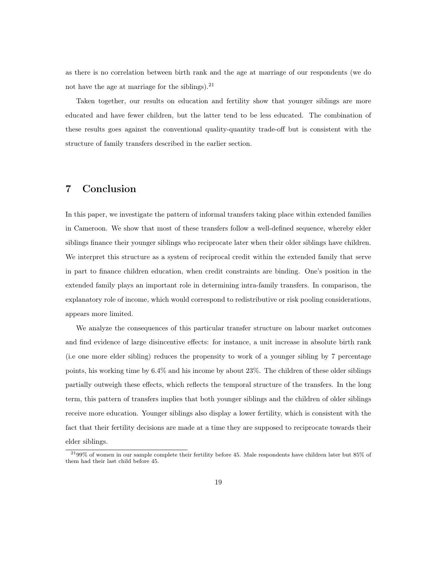as there is no correlation between birth rank and the age at marriage of our respondents (we do not have the age at marriage for the siblings). $21$ 

Taken together, our results on education and fertility show that younger siblings are more educated and have fewer children, but the latter tend to be less educated. The combination of these results goes against the conventional quality-quantity trade-off but is consistent with the structure of family transfers described in the earlier section.

## 7 Conclusion

In this paper, we investigate the pattern of informal transfers taking place within extended families in Cameroon. We show that most of these transfers follow a well-defined sequence, whereby elder siblings finance their younger siblings who reciprocate later when their older siblings have children. We interpret this structure as a system of reciprocal credit within the extended family that serve in part to finance children education, when credit constraints are binding. One's position in the extended family plays an important role in determining intra-family transfers. In comparison, the explanatory role of income, which would correspond to redistributive or risk pooling considerations, appears more limited.

We analyze the consequences of this particular transfer structure on labour market outcomes and find evidence of large disincentive effects: for instance, a unit increase in absolute birth rank (i.e one more elder sibling) reduces the propensity to work of a younger sibling by 7 percentage points, his working time by 6.4% and his income by about 23%. The children of these older siblings partially outweigh these effects, which reflects the temporal structure of the transfers. In the long term, this pattern of transfers implies that both younger siblings and the children of older siblings receive more education. Younger siblings also display a lower fertility, which is consistent with the fact that their fertility decisions are made at a time they are supposed to reciprocate towards their elder siblings.

<sup>21</sup>99% of women in our sample complete their fertility before 45. Male respondents have children later but 85% of them had their last child before 45.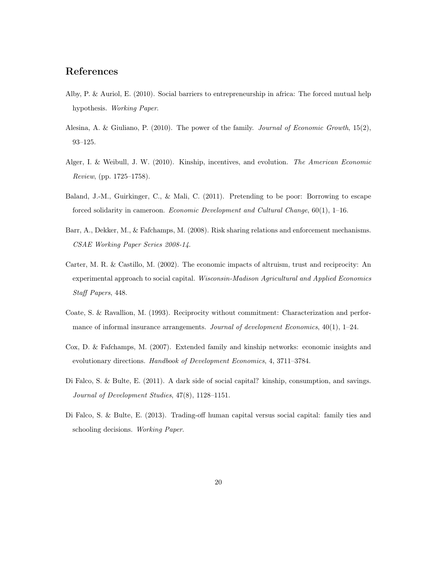### References

- Alby, P. & Auriol, E. (2010). Social barriers to entrepreneurship in africa: The forced mutual help hypothesis. Working Paper.
- Alesina, A. & Giuliano, P. (2010). The power of the family. Journal of Economic Growth, 15(2), 93–125.
- Alger, I. & Weibull, J. W. (2010). Kinship, incentives, and evolution. The American Economic Review, (pp. 1725–1758).
- Baland, J.-M., Guirkinger, C., & Mali, C. (2011). Pretending to be poor: Borrowing to escape forced solidarity in cameroon. Economic Development and Cultural Change, 60(1), 1–16.
- Barr, A., Dekker, M., & Fafchamps, M. (2008). Risk sharing relations and enforcement mechanisms. CSAE Working Paper Series 2008-14.
- Carter, M. R. & Castillo, M. (2002). The economic impacts of altruism, trust and reciprocity: An experimental approach to social capital. Wisconsin-Madison Agricultural and Applied Economics Staff Papers, 448.
- Coate, S. & Ravallion, M. (1993). Reciprocity without commitment: Characterization and performance of informal insurance arrangements. Journal of development Economics,  $40(1)$ , 1–24.
- Cox, D. & Fafchamps, M. (2007). Extended family and kinship networks: economic insights and evolutionary directions. Handbook of Development Economics, 4, 3711–3784.
- Di Falco, S. & Bulte, E. (2011). A dark side of social capital? kinship, consumption, and savings. Journal of Development Studies, 47(8), 1128–1151.
- Di Falco, S. & Bulte, E. (2013). Trading-off human capital versus social capital: family ties and schooling decisions. Working Paper.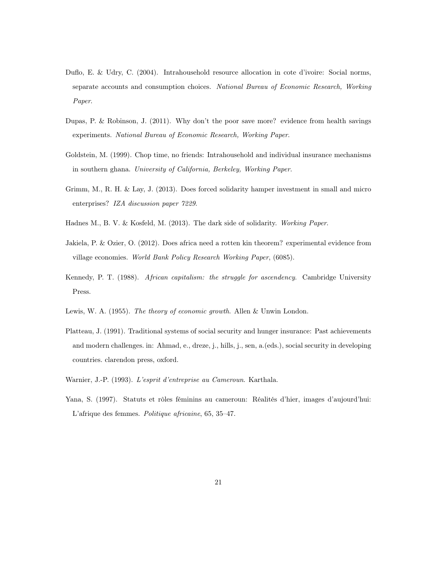- Duflo, E. & Udry, C. (2004). Intrahousehold resource allocation in cote d'ivoire: Social norms, separate accounts and consumption choices. National Bureau of Economic Research, Working Paper.
- Dupas, P. & Robinson, J. (2011). Why don't the poor save more? evidence from health savings experiments. National Bureau of Economic Research, Working Paper.
- Goldstein, M. (1999). Chop time, no friends: Intrahousehold and individual insurance mechanisms in southern ghana. University of California, Berkeley, Working Paper.
- Grimm, M., R. H. & Lay, J. (2013). Does forced solidarity hamper investment in small and micro enterprises? IZA discussion paper 7229.
- Hadnes M., B. V. & Kosfeld, M. (2013). The dark side of solidarity. Working Paper.
- Jakiela, P. & Ozier, O. (2012). Does africa need a rotten kin theorem? experimental evidence from village economies. World Bank Policy Research Working Paper, (6085).
- Kennedy, P. T. (1988). African capitalism: the struggle for ascendency. Cambridge University Press.
- Lewis, W. A. (1955). The theory of economic growth. Allen & Unwin London.
- Platteau, J. (1991). Traditional systems of social security and hunger insurance: Past achievements and modern challenges. in: Ahmad, e., dreze, j., hills, j., sen, a.(eds.), social security in developing countries. clarendon press, oxford.
- Warnier, J.-P. (1993). L'esprit d'entreprise au Cameroun. Karthala.
- Yana, S. (1997). Statuts et rôles féminins au cameroun: Réalités d'hier, images d'aujourd'hui: L'afrique des femmes. Politique africaine, 65, 35–47.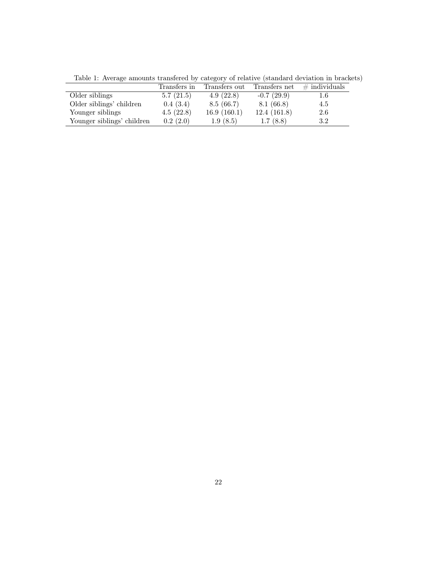|                            | Transfers in | Transfers out | Transfers net | $\#$ individuals |
|----------------------------|--------------|---------------|---------------|------------------|
| Older siblings             | 5.7(21.5)    | 4.9(22.8)     | $-0.7(29.9)$  | 1.6              |
| Older siblings' children   | 0.4(3.4)     | 8.5(66.7)     | 8.1(66.8)     | 4.5              |
| Younger siblings           | 4.5(22.8)    | 16.9(160.1)   | 12.4(161.8)   | 2.6              |
| Younger siblings' children | 0.2(2.0)     | 1.9(8.5)      | 1.7(8.8)      | 3.2              |
|                            |              |               |               |                  |

Table 1: Average amounts transfered by category of relative (standard deviation in brackets)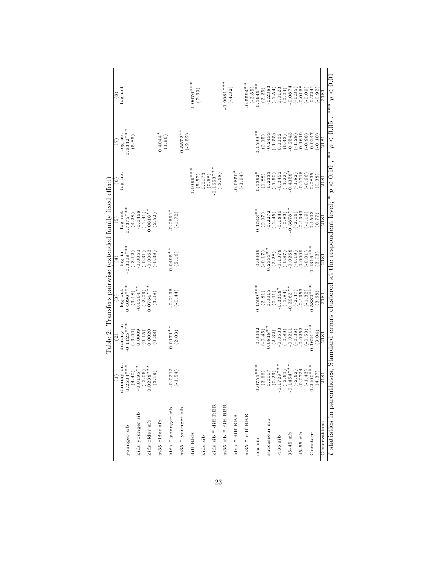|                                                                                       |                                                                                                 |                          |                        | Table 2: Transfers pairwise (extended family fixed effect) |                                     |                        |                               |                           |
|---------------------------------------------------------------------------------------|-------------------------------------------------------------------------------------------------|--------------------------|------------------------|------------------------------------------------------------|-------------------------------------|------------------------|-------------------------------|---------------------------|
|                                                                                       | $\widehat{E}$                                                                                   | $\widehat{\mathfrak{S}}$ | වි                     | $\widehat{H}$                                              | $\widehat{5}$                       | ି                      | E                             | $\circledast$             |
|                                                                                       | dummy out                                                                                       | dummy in                 | $\log$ out             | log in                                                     | $log$ net                           | log net                | log net                       | $log$ net                 |
| younger sib                                                                           |                                                                                                 | $-0.1125**$              | $0.40\overline{96}$ ** | $-0.3009**$                                                | $0.7375**$                          |                        | $0.6342**$                    |                           |
|                                                                                       | $\begin{array}{c} 0.2534^{***} \\ (4.40) \\ -0.0195^{**} \\ (-2.06) \\ 0.0238^{**} \end{array}$ | $(-3.00)$<br>0.0009      | (3.18)                 | $(-3.12)$                                                  | (4.28)                              |                        | (5.85)                        |                           |
| kids younger sib                                                                      |                                                                                                 |                          | $-0.0504**$            | $-0.0051$                                                  | $-0.0468$                           |                        |                               |                           |
|                                                                                       |                                                                                                 | (0.15)                   | $(-2.09)$<br>0.0754*** | $(-0.31)$                                                  | $(-1.41)$                           |                        |                               |                           |
| kids older sib                                                                        | (3.19)                                                                                          | 0.0020<br>(0.38)         | (3.08)                 | $-0.0063$<br>$(-0.38)$                                     | $0.0818**$<br>(2.52)                |                        |                               |                           |
| m35 older sib                                                                         |                                                                                                 |                          |                        |                                                            |                                     |                        | $0.4044*$                     |                           |
|                                                                                       |                                                                                                 |                          |                        |                                                            |                                     |                        | (1.96)                        |                           |
| kids * younger sib                                                                    |                                                                                                 | $0.0171**$               |                        | $0.0495**$                                                 | $-0.0691$ <sup>*</sup><br>$(-1.72)$ |                        |                               |                           |
|                                                                                       | $-0.0212$<br>$(-1.54)$                                                                          | (2.03)                   | $-0.0136$<br>$(-0.44)$ | (2.16)                                                     |                                     |                        |                               |                           |
| m35 * younger sib                                                                     |                                                                                                 |                          |                        |                                                            |                                     |                        | $-0.5572**$<br>$(-2.52)$      |                           |
| $\mathrm{diff}$ RBR                                                                   |                                                                                                 |                          |                        |                                                            |                                     | $1.1099***$            |                               | $1.0676***$               |
|                                                                                       |                                                                                                 |                          |                        |                                                            |                                     | (5.57)                 |                               | (7.39)                    |
| kids sib                                                                              |                                                                                                 |                          |                        |                                                            |                                     | 0.0173                 |                               |                           |
|                                                                                       |                                                                                                 |                          |                        |                                                            |                                     | (0.68)                 |                               |                           |
| kids sib * diff RBR                                                                   |                                                                                                 |                          |                        |                                                            |                                     | $-0.1653***$           |                               |                           |
|                                                                                       |                                                                                                 |                          |                        |                                                            |                                     | $(-3.58)$              |                               |                           |
| m35 sib * diff RBR                                                                    |                                                                                                 |                          |                        |                                                            |                                     |                        |                               | $-0.9081***$<br>$(-4.32)$ |
| kids * diff RBR                                                                       |                                                                                                 |                          |                        |                                                            |                                     | $-0.0850*$             |                               |                           |
|                                                                                       |                                                                                                 |                          |                        |                                                            |                                     | $(-1.94)$              |                               |                           |
| $m35$ * diff RBR                                                                      |                                                                                                 |                          |                        |                                                            |                                     |                        |                               | $0.5594***$               |
|                                                                                       |                                                                                                 |                          |                        |                                                            |                                     |                        |                               | $(-2.55)$<br>0.1645**     |
| $sex$ $sib$                                                                           | $0.0751***$                                                                                     | $-0.0062$                | $0.1599***$            | $-0.0069$                                                  | $0.1543**$                          | $0.1392*$              | $0.1599**$                    |                           |
|                                                                                       | (3.66)                                                                                          | $(-0.45)$                | (2.81)                 | $(71.0-)$                                                  | $(2.07)$<br>-0.2272                 | (1.88)                 | $(2.15)$<br>-0.2433           | (2.25)                    |
| successeur sib                                                                        | 0.0117                                                                                          | $0.0818**$               | 0.0015                 | $0.2333**$                                                 |                                     | $-0.2333$              |                               | $-0.2383$                 |
| $35$ sib                                                                              | $.729***$<br>(0.29)<br>$-0.1$                                                                   | $-0.0533$<br>(2.32)      | $-0.3358*$<br>(0.01)   | $-0.1378$<br>(2.28)                                        | $-0.1846$<br>$(-1.45)$              | $-0.3452$<br>$(-1.50)$ | 0.1132<br>$(-1.55)$           | 0.0123<br>$(-1.54)$       |
|                                                                                       | $-2.61$                                                                                         | $(-0.89)$                | $(-1.84)$              | $(78.0-)$                                                  | $(-0.83)$                           | $(-1.22)$              | (0.43)                        | (0.04)                    |
| $35-45$ sib                                                                           | $-0.1454***$                                                                                    | $-0.0211$                | $-0.3963**$            | $-0.0268$                                                  |                                     | $0.4158*$              |                               | $-0.0874$                 |
|                                                                                       | $(-2.62)$                                                                                       | $(-0.38)$                | $(-2.47)$<br>-0.1953   | $(-0.19)$                                                  | $-0.3878**$<br>$(-2.06)$            | $(-1.82)$              | $-0.2543$<br>$(-1.28)$        | $(-0.35)$                 |
| $45-55$ sib                                                                           | 0.724                                                                                           | $-0.0252$                |                        | $-0.0009$                                                  | $-0.1943$                           | $-0.1716$              | $-0.1619$                     | $-0.0168$                 |
|                                                                                       | $-1.43)$<br>$rac{1}{\alpha}$                                                                    | $(-0.53)$                | $(-1.32)$              | $(-0.01)$                                                  | $(-1.19)$                           | $(-0.96)$              | $(-0.98)$                     | $(-0.09)$                 |
| Constant                                                                              | $***$ ***00                                                                                     | $0.1624***$              | $0.5882***$            | $0.4316***$                                                | 0.1503                              | 0.0835                 | 0.0247                        | $-0.2241$                 |
|                                                                                       | (4.37)                                                                                          | (3.04)                   | (3.68)                 | (3.03)                                                     | (77.0)                              | (0.38)                 | $(-0.10)$                     | $(-0.92)$                 |
| Observations                                                                          | 2181                                                                                            | $\frac{2181}{ }$         | $\frac{2181}{181}$     | 2181                                                       | 2181                                | 2181                   | 2181                          | 2181                      |
| $t$ statistics in parentheses; Standard errors clustered at the respondent level; $*$ |                                                                                                 |                          |                        |                                                            |                                     | p < 0.10               | ** $\overline{p}$ $\lt$ 0.05, | $0.0 > d_{***}$           |

23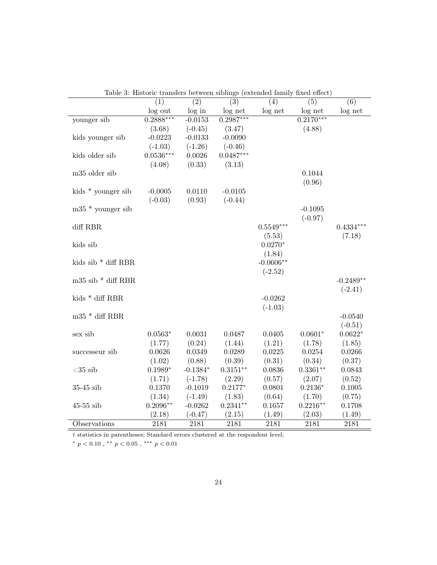|                        | $\overline{(1)}$ | $\overline{(2)}$ | transiers between sibilities (extended failing fixed effect)<br>$\overline{(3)}$ | (4)         | (5)         | $\overline{(6)}$ |
|------------------------|------------------|------------------|----------------------------------------------------------------------------------|-------------|-------------|------------------|
|                        | log out          | log in           | log net                                                                          | log net     | log net     | log net          |
| younger sib            | $0.2888***$      | $-0.0153$        | $0.2987***$                                                                      |             | $0.2170***$ |                  |
|                        | (3.68)           | $(-0.45)$        | (3.47)                                                                           |             | (4.88)      |                  |
| kids younger sib       | $-0.0223$        | $-0.0133$        | $-0.0090$                                                                        |             |             |                  |
|                        | $(-1.03)$        | $(-1.26)$        | $(-0.46)$                                                                        |             |             |                  |
| kids older sib         | $0.0536***$      | 0.0026           | $0.0487***$                                                                      |             |             |                  |
|                        | (4.08)           | (0.33)           | (3.13)                                                                           |             |             |                  |
| m35 older sib          |                  |                  |                                                                                  |             | 0.1044      |                  |
|                        |                  |                  |                                                                                  |             | (0.96)      |                  |
| kids * younger sib     | $-0.0005$        | 0.0110           | $-0.0105$                                                                        |             |             |                  |
|                        | $(-0.03)$        | (0.93)           | $(-0.44)$                                                                        |             |             |                  |
| $m35 *$ younger sib    |                  |                  |                                                                                  |             | $-0.1095$   |                  |
|                        |                  |                  |                                                                                  |             | $(-0.97)$   |                  |
| diff RBR               |                  |                  |                                                                                  | $0.5549***$ |             | $0.4334***$      |
|                        |                  |                  |                                                                                  | (5.53)      |             | (7.18)           |
| kids sib               |                  |                  |                                                                                  | $0.0270*$   |             |                  |
|                        |                  |                  |                                                                                  | (1.84)      |             |                  |
| kids sib * diff RBR    |                  |                  |                                                                                  | $-0.0606**$ |             |                  |
|                        |                  |                  |                                                                                  | $(-2.52)$   |             |                  |
| $m35$ sib $*$ diff RBR |                  |                  |                                                                                  |             |             | $-0.2489**$      |
|                        |                  |                  |                                                                                  |             |             | $(-2.41)$        |
| kids * diff RBR        |                  |                  |                                                                                  | $-0.0262$   |             |                  |
|                        |                  |                  |                                                                                  | $(-1.03)$   |             |                  |
| $m35$ * diff RBR       |                  |                  |                                                                                  |             |             | $-0.0540$        |
|                        |                  |                  |                                                                                  |             |             | $(-0.51)$        |
| sex sib                | $0.0563*$        | 0.0031           | 0.0487                                                                           | 0.0405      | $0.0601*$   | $0.0622*$        |
|                        | (1.77)           | (0.24)           | (1.44)                                                                           | (1.21)      | (1.78)      | (1.85)           |
| successeur sib         | 0.0626           | 0.0349           | 0.0289                                                                           | 0.0225      | 0.0254      | 0.0266           |
|                        | (1.02)           | (0.88)           | (0.39)                                                                           | (0.31)      | (0.34)      | (0.37)           |
| $<$ 35 sib             | $0.1989*$        | $-0.1384*$       | $0.3151**$                                                                       | 0.0836      | $0.3361**$  | 0.0843           |
|                        | (1.71)           | $(-1.78)$        | (2.29)                                                                           | (0.57)      | (2.07)      | (0.52)           |
| $35-45$ sib            | 0.1370           | $-0.1019$        | $0.2177*$                                                                        | 0.0801      | $0.2136*$   | 0.1005           |
|                        | (1.34)           | $(-1.49)$        | (1.83)                                                                           | (0.64)      | (1.70)      | (0.75)           |
| $45-55$ sib            | $0.2096**$       | $-0.0262$        | $0.2341**$                                                                       | 0.1657      | $0.2216**$  | 0.1708           |
|                        | (2.18)           | $(-0.47)$        | (2.15)                                                                           | (1.49)      | (2.03)      | (1.49)           |
| Observations           | 2181             | 2181             | 2181                                                                             | 2181        | 2181        | 2181             |

Table 3: Historic transfers between siblings (extended family fixed effect)

 $\boldsymbol{t}$  statistics in parentheses; Standard errors clustered at the respondent level;

\*  $p < 0.10$ , \*\*  $p < 0.05$ , \*\*\*  $p < 0.01$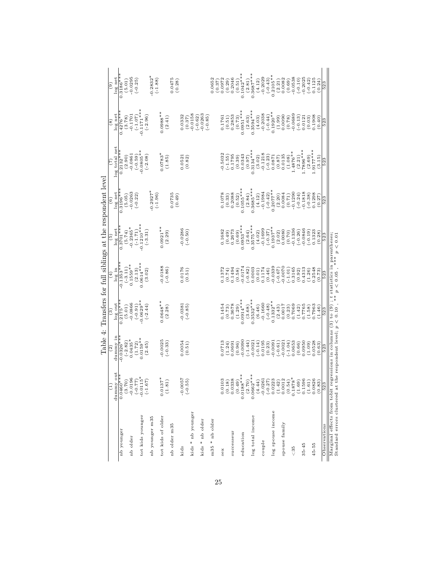|                   | Ξ                                                                                                                                               | $\widehat{\mathbb{C}}$                            | ನ                      | $\left( \frac{4}{3} \right)$ | ତି                      | ି                     |                       | $\binom{8}{ }$        | $\widehat{e}$         |
|-------------------|-------------------------------------------------------------------------------------------------------------------------------------------------|---------------------------------------------------|------------------------|------------------------------|-------------------------|-----------------------|-----------------------|-----------------------|-----------------------|
|                   | dummy out                                                                                                                                       | dummy in                                          | log out                | log in                       | $log$ net               | log net               | log total net         | log net               | log net               |
| nb younger        | ∤∗<br>0.0460                                                                                                                                    | $-0.0326**$                                       | $0.2175**$             | $-0.1353**$                  | $0.3701**$              | $0.3196**$            | $0.2132**$            | $0.4276**$            | $0.3186**$            |
|                   |                                                                                                                                                 | $\begin{array}{c} (-2.82) \\ 0.0435 \end{array}$  | (5.01)                 | $(-3.11)$                    | (5.74)                  | (5.05)                | (2.90)                | (3.78)                | (5.01)                |
| nb older          |                                                                                                                                                 |                                                   | $-0.0866$              | $0.1559**$                   | $-0.2365*$              | $-0.0263$             | $-0.0861$             | $-0.1701$             | $-0.0295$             |
|                   | $\begin{array}{c} (29^{\circ}1^{\circ}) \\ (24^{\circ}0^{\circ}) \\ (22^{\circ}) \\ (24^{\circ}) \\ (02^{\circ}8) \\ (02^{\circ}8) \end{array}$ | $\begin{array}{c} (1.72) \\ 0.0159** \end{array}$ | $(-0.91)$              | (2.13)                       | $(-1.71)$<br>-0.1210*** | $(-0.22)$             | $(-0.59)$             | $(-1.07)$             | $(-0.25)$             |
| tot kids younger  |                                                                                                                                                 |                                                   | $0.0629**$             | $0.0614***$                  |                         |                       | $0.0805**$            | $-0.1171***$          |                       |
| nb younger m35    |                                                                                                                                                 | (2.45)                                            | $(-2.44)$              | (3.02)                       | $(-3.31)$               | $-0.2927*$            | $(-2.08)$             | $(-2.96)$             | $0.2832*$             |
|                   |                                                                                                                                                 |                                                   |                        |                              |                         | $(-1.96)$             |                       |                       | $(-1.88)$             |
| tot kids of older | $0.0137*$                                                                                                                                       | $-0.0025$                                         | $0.0648**$             | $-0.0188$                    | $0.0921***$             |                       | $0.0783*$             | $0.0988**$            |                       |
| nb older m35      | (1.81)                                                                                                                                          | $(-0.33)$                                         | (2.28)                 | $(-0.86)$                    | (2.29)                  | 0.0735                | (1.85)                | (2.41)                | 0.0475                |
|                   |                                                                                                                                                 |                                                   |                        |                              |                         | (0.49)                |                       |                       | (0.28)                |
| kids              | $-0.0057$<br>$(-0.55)$                                                                                                                          | 0.0054<br>(0.51)                                  | $-0.0381$<br>$(-0.85)$ | (0.51)                       | $-0.0286$<br>$(-0.50)$  |                       | (0.82)<br>0.0521      | 0.0332<br>(0.37)      |                       |
| kids * nb younger |                                                                                                                                                 |                                                   |                        |                              |                         |                       |                       | $-0.0158$             |                       |
| kids * nb older   |                                                                                                                                                 |                                                   |                        |                              |                         |                       |                       | 0.0263<br>$(-0.62)$   |                       |
| m35 * nb older    |                                                                                                                                                 |                                                   |                        |                              |                         |                       |                       | $(-0.85)$             | 0.0652                |
| sex               | 0.0103                                                                                                                                          | 0.0713                                            | 0.1454                 | 0.1372                       | 0.1682                  | 0.1078                | $-0.5032$             | 1.1761                | 0.0972<br>(0.37)      |
|                   |                                                                                                                                                 | 0.0691<br>(1.24)                                  | (0.73)                 | 0.1494<br>(0.74)             | 0.2673<br>(0.49)        | 0.2088<br>(0.33)      | 0.1795<br>$(-1.55)$   | (0.51)                | 0.2046<br>(0.29)      |
| successeur        |                                                                                                                                                 | (0.96)                                            | 0.3678<br>(1.29)       | (0.58)                       | (0.69)                  | (0.52)                | (0.39)                | 0.2853<br>(0.73)      | (0.51)                |
| education         | $\begin{array}{c} (0.18) \\ 0.0338 \\ (0.49) \\ (0.49) \\ 0.0188** \end{array}$                                                                 | 0.0090                                            | $0.0914***$            | 0.0174                       | $0.0953***$             | $0.1055***$           | 0.0343                | $0.0951***$           | $0.1042***$           |
|                   | $(2.70)$<br>0.0662***                                                                                                                           | $(-1.44)$                                         | (3.68)                 | $(-0.82)$                    | (2.64)                  | (2.84)                | (0.97)                | (2.63)                | (2.81)                |
| log total income  |                                                                                                                                                 | $-0.0021$<br>$(-0.14)$                            | $0.3532***$<br>(6.46)  | 0.0003<br>(0.01)             | $0.3575***$<br>(4.02)   | $0.3685***$<br>(4.12) | $0.3134***$<br>(3.02) | $0.3594***$<br>(4.03) | $0.3687***$<br>(4.12) |
| couple            | $\begin{array}{l} (4.44) \\ -0.0261 \\ -0.27) \\ (-0.27) \\ 0.0223 \\ (1.42) \\ 0.0012 \\ (0.54) \\ 0.012 \\ \end{array}$                       | 0.0195                                            | $-0.1660$              | 0.1174                       | $-0.1699$               | $-0.1984$             | $-0.1218$             | $-0.2038$             | $-0.2029$             |
|                   |                                                                                                                                                 | (0.23)                                            | $(-0.48)$              | (0.46)                       | $(-0.37)$               | $(-0.42)$             | $(-0.23)$             | $(-0.44)$             | $(-0.43)$             |
| log spouse income |                                                                                                                                                 | $-0.0091$                                         | $0.1332**$             | $-0.0339$                    | $0.1937***$             | $0.2077**$            | 0.0871                | $0.1920**$            | $0.2105**$            |
|                   |                                                                                                                                                 | $(-0.61)$                                         | (2.43)                 | $(-0.67)$                    | (2.02)                  | (2.20)                | (0.87)                | (1.99)                | (2.21)                |
| spouse family     |                                                                                                                                                 | $-0.0021$                                         | 0.0017                 | 0.0070                       | 0.0080                  | 0.0084                | 0.0135                | 0.0090                | 0.0082                |
| & 35              |                                                                                                                                                 | $(-1.04)$<br>0.0653                               | 0.7069<br>(0.23)       | 0.3165<br>$(-1.01)$          | $-0.1336$<br>(0.70)     | $-0.1290$<br>(0.71)   | $1.4876**$<br>(1.08)  | 0.0689<br>(0.78)      | $-0.0538$<br>(0.69)   |
|                   |                                                                                                                                                 | (0.66)                                            |                        | (0.92)                       | $(-0.26)$               | $(-0.24)$             | (2.21)                | $(-0.13)$             | $(-0.10)$             |
| $35 - 45$         | $(1.69)$<br>0.1596                                                                                                                              | 0.0950                                            | $(1.42)$<br>0.7765     | 0.4313                       | $-0.0846$               | 0.1818                | $***$                 | 0.0121                | $-0.2025$             |
|                   | (1.61)                                                                                                                                          | (1.09)                                            | (1.58)                 | (1.26)                       | $(-0.19)$               | $(-0.38)$             | (2.69)                | (0.03)                | $(-0.42)$             |
| $45 - 55$         | $0.0826$<br>$(0.83)$                                                                                                                            | 0.528                                             | 0.7963                 | 0.2548                       | 0.1323                  | 0.1298                | $***$ *** 5716.       | 0.1908                | 0.1125                |
|                   | 523                                                                                                                                             | (0.63)                                            | (1.46)                 | (6.73)                       | (0.28)                  | (0.27)                | (3.15)                | (0.40)                | (0.24)                |
| Observations      |                                                                                                                                                 | 523                                               | 523                    | 523                          | 523                     | 523                   | 523                   | 523                   | 523                   |

| ١<br>$\frac{1}{2}$<br>j<br>$\frac{1}{2}$<br>ļ<br>j<br>ļ<br>ì<br>j                                          | ł<br>١<br>٤<br>$***$<br>$\frac{5}{2}$<br>$\frac{1}{2}$<br>¥                                    |
|------------------------------------------------------------------------------------------------------------|------------------------------------------------------------------------------------------------|
| ļ<br>$\overline{\phantom{a}}$                                                                              | ¢<br>١                                                                                         |
|                                                                                                            | 1<br>i                                                                                         |
| ¢                                                                                                          |                                                                                                |
| $\overline{a}$<br>Ĩ<br>a badan mengan dan tahun 1980.<br>i<br>j<br>:<br>;<br><b>Contract Contract</b><br>ĺ | $\frac{1}{2}$<br>i<br>$\overline{\phantom{a}}$<br>ei de i<br>$\frac{1}{2}$<br>l<br>)<br>;<br>; |
| $\frac{1}{2}$<br>J<br>j                                                                                    | mmmm<br>.<br>.<br>.<br>$\ddot{\phantom{a}}$<br>ť<br>j                                          |

25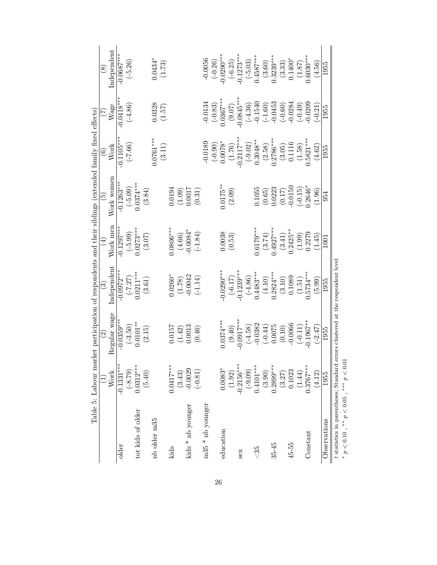|                                               |                              | Table 5: Labour market participation of respondents and their siblings (extended family fixed effects) |                           |                                                     |                                                                                               |                                                            |                                                                                                                     |                                 |
|-----------------------------------------------|------------------------------|--------------------------------------------------------------------------------------------------------|---------------------------|-----------------------------------------------------|-----------------------------------------------------------------------------------------------|------------------------------------------------------------|---------------------------------------------------------------------------------------------------------------------|---------------------------------|
|                                               |                              | $\widetilde{\circ}$                                                                                    | $\widetilde{\mathbf{S}}$  | $(\pm)$                                             | $\widetilde{\mathbf{e}}$                                                                      | $\widehat{\mathbf{e}}$                                     | E                                                                                                                   | $\circledast$                   |
|                                               | <b>Work</b>                  | Regular wage                                                                                           | independent               | Work men                                            | Work women                                                                                    | Work                                                       | Wage                                                                                                                | Independent                     |
| older                                         | $-0.1331***$                 | $-0.0359***$                                                                                           | $-0.0972**$               | $-0.1297**$                                         | $-0.1263***$                                                                                  | $0.1105***$                                                | $0.0418***$                                                                                                         | $-0.0687***$                    |
|                                               | $(-8.79)$                    | $(-3.50)$                                                                                              | $(-7.27)$<br>0.0211***    |                                                     |                                                                                               | $(-7.66)$                                                  | $(-4.86)$                                                                                                           | $(-5.26)$                       |
| tot kids of older                             | $0.0312***$                  | $0.0101***$                                                                                            |                           | $\begin{array}{c} (-5.99) \\ 0.0273*** \end{array}$ | $(-5.09)$<br>0.0374***                                                                        |                                                            |                                                                                                                     |                                 |
|                                               | (5.40)                       | (2.15)                                                                                                 | (3.61)                    | (3.07)                                              | (3.84)                                                                                        |                                                            |                                                                                                                     |                                 |
| nb older m35                                  |                              |                                                                                                        |                           |                                                     |                                                                                               | $0.0761***$                                                | (1.57)                                                                                                              | $0.0434$ <sup>*</sup><br>(1.73) |
|                                               |                              |                                                                                                        |                           |                                                     |                                                                                               | (3.11)                                                     |                                                                                                                     |                                 |
| kids                                          | $0.0417***$                  | 1.0157                                                                                                 | $0.0260*$                 | $0806***$                                           |                                                                                               |                                                            |                                                                                                                     |                                 |
|                                               | $(3.43)$<br>-0.0029          | $(1.42)$<br>0.0013                                                                                     | $(1.78)$<br>0.0042        | $(4.66)$<br>-0.0084*                                |                                                                                               |                                                            |                                                                                                                     |                                 |
| kids * nb younger                             |                              |                                                                                                        |                           |                                                     |                                                                                               |                                                            |                                                                                                                     |                                 |
|                                               | $(-0.81)$                    | (0.46)                                                                                                 | $(-1.14)$                 | $(-1.84)$                                           | $\begin{array}{c} 0.0194 \\ (1.09) \\ 0.0017 \\ 0.017 \end{array}$                            |                                                            |                                                                                                                     |                                 |
| $m35 * nb$ younger                            |                              |                                                                                                        |                           |                                                     |                                                                                               | $-0.0189$                                                  | $-0.0134$                                                                                                           | $-0.0056$                       |
|                                               |                              |                                                                                                        |                           |                                                     |                                                                                               | $(-0.90)$<br>0.0078*                                       | $(-0.83)$<br>$0.0367***$                                                                                            | $(-0.26)$                       |
| education                                     | $0.0083*$                    | $0.0374***$                                                                                            | $0.0290***$               | 0.0038                                              | $0.0175**$                                                                                    |                                                            |                                                                                                                     | $0.0290***$                     |
|                                               | (1.92)                       | (9.40)                                                                                                 | $(-6.17)$                 | (0.53)                                              | (2.09)                                                                                        | $(1.76)$<br>0.2117***                                      |                                                                                                                     | $(-6.25)$<br>$-0.1273***$       |
| <b>Sex</b>                                    | $-0.2156***$                 | $0.0917***$                                                                                            | $-0.1239***$              |                                                     |                                                                                               |                                                            |                                                                                                                     |                                 |
|                                               | $(-9.09)$                    |                                                                                                        | $\frac{-4.86}{0.4483***}$ |                                                     |                                                                                               |                                                            |                                                                                                                     | $(-5.03)$<br>0.4587***          |
| $\frac{35}{2}$                                | $0.4101***$                  | $(-4.58)$<br>-0.0382                                                                                   |                           | $0.6179***$                                         | 0.1055                                                                                        | $\begin{array}{c} (-9.02) \\ 0.3048** \end{array}$         |                                                                                                                     |                                 |
|                                               | (3.90)                       | $\begin{array}{c} (-0.44) \\ 0.0075 \\ (0.10) \\ (0.10) \\ \end{array}$                                | $(4.10)$<br>0.2824***     | $\left(3.74\right)$<br>$\left(4927***\right)$       | $\begin{array}{c} (0.65) \\ 0.0223 \\ (0.17) \\ -0.0150 \\ (-0.15) \\ (-0.15) \\ \end{array}$ | $(2.58)$<br>$0.2786***$                                    | $\begin{array}{c} (9.07)\\ (9.0845^{***}\\ (-4.36)\\ (1.1540)\\ (-1.60)\\ (-1.60)\\ (-0.0453\\ -0.0284 \end{array}$ | (3.60)                          |
| $35 - 45$                                     | $0.2899***$                  |                                                                                                        |                           |                                                     |                                                                                               |                                                            |                                                                                                                     | $0.3239***$                     |
|                                               | (3.27)                       |                                                                                                        | $(3.10)$<br>$0.1089$      | $\begin{array}{c} (3.41) \\ 0.2425** \end{array}$   |                                                                                               | (3.05)                                                     |                                                                                                                     | $(3.33)$<br>$0.1400*$           |
| $45 - 55$                                     | 0.1023                       |                                                                                                        |                           |                                                     |                                                                                               |                                                            |                                                                                                                     |                                 |
|                                               | (1.44)                       | $(-0.11)$                                                                                              | (1.51)                    | $(1.99)$<br>0.2279                                  |                                                                                               | $\begin{array}{c} 0.1116\\ (1.58)\\ 0.5821*** \end{array}$ | $(-0.49)$<br>-0.0209                                                                                                | (1.87)                          |
| Constant                                      | $0.3767***$                  | $0.1967***$                                                                                            | $.5734***$                |                                                     |                                                                                               |                                                            |                                                                                                                     | $0.6030***$                     |
|                                               | (4.12)                       | $(-2.47)$                                                                                              | (5.99)                    | (1.45)                                              | (1.96)                                                                                        | (4.62)                                                     | $(-0.21)$                                                                                                           | (4.56)                          |
| Observations                                  | 1955                         | 1955                                                                                                   | 1955                      | 1001                                                | 954                                                                                           | 1955                                                       | 1955                                                                                                                | 1955                            |
| t statistics in parentheses; Standard         |                              | errors clustered at the respondent level                                                               |                           |                                                     |                                                                                               |                                                            |                                                                                                                     |                                 |
| **<br>$\begin{array}{c}\n0 \\ 1\n\end{array}$ | $\sim$ 0 $\sim$<br>*** LCC \ |                                                                                                        |                           |                                                     |                                                                                               |                                                            |                                                                                                                     |                                 |

p < 0.10 , ∗∗ p < 0.05 , ∗∗∗ p < 0.01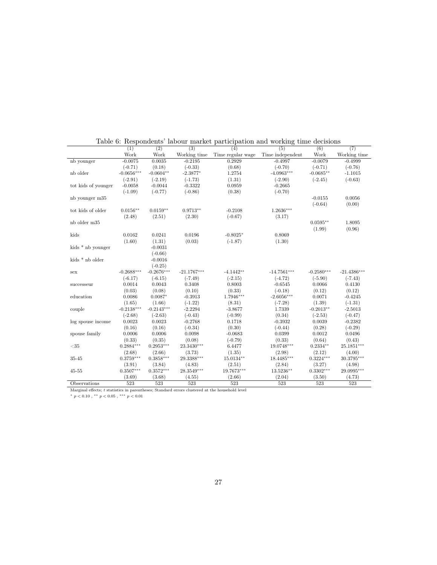| Work<br>Work<br>Working time<br>Time regular wage<br>Time independent<br>Work<br>Working time<br>$-0.0075$<br>0.0035<br>$-0.2195$<br>0.2929<br>$-0.4997$<br>$-0.0079$<br>$-0.4999$<br>nb younger<br>(0.18)<br>$(-0.33)$<br>(0.68)<br>$(-0.71)$<br>$(-0.70)$<br>$(-0.71)$<br>$(-0.76)$<br>nb older<br>$-0.0656***$<br>$-4.0963***$<br>$-0.0685**$<br>$-0.0604**$<br>$-2.3877*$<br>1.2754<br>$-1.1015$<br>(1.31)<br>$(-2.91)$<br>$(-2.19)$<br>$(-1.73)$<br>$(-2.90)$<br>$(-2.45)$<br>$(-0.63)$<br>tot kids of younger<br>0.0959<br>$-0.0058$<br>$-0.0044$<br>$-0.3322$<br>$-0.2665$<br>$(-1.09)$<br>$(-0.77)$<br>$(-0.86)$<br>(0.38)<br>$(-0.70)$<br>$-0.0155$<br>0.0056<br>nb younger m35<br>$(-0.64)$<br>(0.00)<br>tot kids of older<br>$0.0156**$<br>$0.0159**$<br>$0.9713**$<br>$-0.2108$<br>$1.2636***$<br>$(-0.67)$<br>(2.48)<br>(2.51)<br>(2.30)<br>(3.17)<br>nb older m35<br>$0.0595**$<br>1.8095<br>(1.99)<br>(0.96)<br>kids<br>0.0162<br>0.0241<br>0.0196<br>$-0.8025*$<br>0.8069<br>(0.03)<br>(1.60)<br>(1.31)<br>$(-1.87)$<br>(1.30)<br>kids $*$ nb younger<br>$-0.0031$<br>$(-0.66)$<br>kids <sup>*</sup> nb older<br>$-0.0016$<br>$(-0.25)$<br>$-0.2688***$<br>$-0.2676***$<br>$-4.1442**$<br>$-14.7561***$<br>$-0.2580***$<br>$-21.1767***$<br>$-21.4386***$<br>sex<br>$(-6.17)$<br>$(-6.15)$<br>$(-7.49)$<br>$(-2.15)$<br>$(-4.72)$<br>$(-5.90)$<br>$(-7.43)$<br>0.0014<br>0.8003<br>$-0.6545$<br>0.0066<br>0.4130<br>0.0043<br>0.3408<br>successeur<br>(0.10)<br>$(-0.18)$<br>(0.03)<br>(0.08)<br>(0.33)<br>(0.12)<br>(0.12)<br>$1.7946***$<br>0.0071<br>education<br>0.0086<br>$0.0087*$<br>$-0.3913$<br>$-2.6056***$<br>$-0.4245$<br>(1.39)<br>(1.65)<br>(1.66)<br>$(-1.22)$<br>(8.31)<br>$(-7.28)$<br>$(-1.31)$<br>$-0.2138***$<br>$-0.2143***$<br>$-2.2294$<br>$-0.2013**$<br>$-2.5013$<br>$-3.8677$<br>1.7339<br>couple<br>$(-2.68)$<br>$(-2.63)$<br>$(-0.43)$<br>$(-0.99)$<br>(0.34)<br>$(-2.53)$<br>$(-0.47)$<br>$-0.2382$<br>log spouse income<br>0.0023<br>0.0023<br>$-0.2768$<br>0.1718<br>$-0.3932$<br>0.0039<br>(0.16)<br>(0.16)<br>$(-0.34)$<br>(0.30)<br>(0.28)<br>$(-0.29)$<br>$(-0.44)$<br>0.0006<br>0.0006<br>0.0098<br>$-0.0683$<br>0.0399<br>0.0012<br>0.0496<br>spouse family<br>(0.33)<br>(0.08)<br>$(-0.79)$<br>(0.33)<br>(0.64)<br>(0.43)<br>(0.35)<br>$0.2884***$<br>$0.2953***$<br>$23.3430***$<br>19.0748***<br>$0.2334**$<br>25.1851***<br>$<35\,$<br>6.4477<br>(2.68)<br>(3.73)<br>(1.35)<br>(2.12)<br>(2.66)<br>(2.98)<br>(4.00)<br>$29.3388***$<br>$0.3224***$<br>$35 - 45$<br>$0.3759***$<br>$0.3858***$<br>15.0134**<br>18.4485***<br>30.3795***<br>(3.27)<br>(4.83)<br>(2.51)<br>(2.84)<br>(4.98)<br>(3.91)<br>(3.84)<br>$0.3507***$<br>$0.3572***$<br>$28.3549***$<br>19.7673***<br>$0.3302***$<br>29.0995***<br>$45 - 55$<br>$13.5236**$<br>(3.69)<br>(3.68)<br>(2.66)<br>(2.04)<br>(3.50)<br>(4.73)<br>(4.55)<br>523<br>523<br>Observations<br>523<br>523<br>523<br>523<br>523 | (1) | $\overline{(2)}$ | $\overline{(3)}$ | (4) | (5) | (6) | (7) |
|-----------------------------------------------------------------------------------------------------------------------------------------------------------------------------------------------------------------------------------------------------------------------------------------------------------------------------------------------------------------------------------------------------------------------------------------------------------------------------------------------------------------------------------------------------------------------------------------------------------------------------------------------------------------------------------------------------------------------------------------------------------------------------------------------------------------------------------------------------------------------------------------------------------------------------------------------------------------------------------------------------------------------------------------------------------------------------------------------------------------------------------------------------------------------------------------------------------------------------------------------------------------------------------------------------------------------------------------------------------------------------------------------------------------------------------------------------------------------------------------------------------------------------------------------------------------------------------------------------------------------------------------------------------------------------------------------------------------------------------------------------------------------------------------------------------------------------------------------------------------------------------------------------------------------------------------------------------------------------------------------------------------------------------------------------------------------------------------------------------------------------------------------------------------------------------------------------------------------------------------------------------------------------------------------------------------------------------------------------------------------------------------------------------------------------------------------------------------------------------------------------------------------------------------------------------------------------------------------------------------------------------------------------------------------------------------------------------------------------------------------------------------------------------------------------------------------------------------------------------------------------------------------------------------------------------|-----|------------------|------------------|-----|-----|-----|-----|
|                                                                                                                                                                                                                                                                                                                                                                                                                                                                                                                                                                                                                                                                                                                                                                                                                                                                                                                                                                                                                                                                                                                                                                                                                                                                                                                                                                                                                                                                                                                                                                                                                                                                                                                                                                                                                                                                                                                                                                                                                                                                                                                                                                                                                                                                                                                                                                                                                                                                                                                                                                                                                                                                                                                                                                                                                                                                                                                                   |     |                  |                  |     |     |     |     |
|                                                                                                                                                                                                                                                                                                                                                                                                                                                                                                                                                                                                                                                                                                                                                                                                                                                                                                                                                                                                                                                                                                                                                                                                                                                                                                                                                                                                                                                                                                                                                                                                                                                                                                                                                                                                                                                                                                                                                                                                                                                                                                                                                                                                                                                                                                                                                                                                                                                                                                                                                                                                                                                                                                                                                                                                                                                                                                                                   |     |                  |                  |     |     |     |     |
|                                                                                                                                                                                                                                                                                                                                                                                                                                                                                                                                                                                                                                                                                                                                                                                                                                                                                                                                                                                                                                                                                                                                                                                                                                                                                                                                                                                                                                                                                                                                                                                                                                                                                                                                                                                                                                                                                                                                                                                                                                                                                                                                                                                                                                                                                                                                                                                                                                                                                                                                                                                                                                                                                                                                                                                                                                                                                                                                   |     |                  |                  |     |     |     |     |
|                                                                                                                                                                                                                                                                                                                                                                                                                                                                                                                                                                                                                                                                                                                                                                                                                                                                                                                                                                                                                                                                                                                                                                                                                                                                                                                                                                                                                                                                                                                                                                                                                                                                                                                                                                                                                                                                                                                                                                                                                                                                                                                                                                                                                                                                                                                                                                                                                                                                                                                                                                                                                                                                                                                                                                                                                                                                                                                                   |     |                  |                  |     |     |     |     |
|                                                                                                                                                                                                                                                                                                                                                                                                                                                                                                                                                                                                                                                                                                                                                                                                                                                                                                                                                                                                                                                                                                                                                                                                                                                                                                                                                                                                                                                                                                                                                                                                                                                                                                                                                                                                                                                                                                                                                                                                                                                                                                                                                                                                                                                                                                                                                                                                                                                                                                                                                                                                                                                                                                                                                                                                                                                                                                                                   |     |                  |                  |     |     |     |     |
|                                                                                                                                                                                                                                                                                                                                                                                                                                                                                                                                                                                                                                                                                                                                                                                                                                                                                                                                                                                                                                                                                                                                                                                                                                                                                                                                                                                                                                                                                                                                                                                                                                                                                                                                                                                                                                                                                                                                                                                                                                                                                                                                                                                                                                                                                                                                                                                                                                                                                                                                                                                                                                                                                                                                                                                                                                                                                                                                   |     |                  |                  |     |     |     |     |
|                                                                                                                                                                                                                                                                                                                                                                                                                                                                                                                                                                                                                                                                                                                                                                                                                                                                                                                                                                                                                                                                                                                                                                                                                                                                                                                                                                                                                                                                                                                                                                                                                                                                                                                                                                                                                                                                                                                                                                                                                                                                                                                                                                                                                                                                                                                                                                                                                                                                                                                                                                                                                                                                                                                                                                                                                                                                                                                                   |     |                  |                  |     |     |     |     |
|                                                                                                                                                                                                                                                                                                                                                                                                                                                                                                                                                                                                                                                                                                                                                                                                                                                                                                                                                                                                                                                                                                                                                                                                                                                                                                                                                                                                                                                                                                                                                                                                                                                                                                                                                                                                                                                                                                                                                                                                                                                                                                                                                                                                                                                                                                                                                                                                                                                                                                                                                                                                                                                                                                                                                                                                                                                                                                                                   |     |                  |                  |     |     |     |     |
|                                                                                                                                                                                                                                                                                                                                                                                                                                                                                                                                                                                                                                                                                                                                                                                                                                                                                                                                                                                                                                                                                                                                                                                                                                                                                                                                                                                                                                                                                                                                                                                                                                                                                                                                                                                                                                                                                                                                                                                                                                                                                                                                                                                                                                                                                                                                                                                                                                                                                                                                                                                                                                                                                                                                                                                                                                                                                                                                   |     |                  |                  |     |     |     |     |
|                                                                                                                                                                                                                                                                                                                                                                                                                                                                                                                                                                                                                                                                                                                                                                                                                                                                                                                                                                                                                                                                                                                                                                                                                                                                                                                                                                                                                                                                                                                                                                                                                                                                                                                                                                                                                                                                                                                                                                                                                                                                                                                                                                                                                                                                                                                                                                                                                                                                                                                                                                                                                                                                                                                                                                                                                                                                                                                                   |     |                  |                  |     |     |     |     |
|                                                                                                                                                                                                                                                                                                                                                                                                                                                                                                                                                                                                                                                                                                                                                                                                                                                                                                                                                                                                                                                                                                                                                                                                                                                                                                                                                                                                                                                                                                                                                                                                                                                                                                                                                                                                                                                                                                                                                                                                                                                                                                                                                                                                                                                                                                                                                                                                                                                                                                                                                                                                                                                                                                                                                                                                                                                                                                                                   |     |                  |                  |     |     |     |     |
|                                                                                                                                                                                                                                                                                                                                                                                                                                                                                                                                                                                                                                                                                                                                                                                                                                                                                                                                                                                                                                                                                                                                                                                                                                                                                                                                                                                                                                                                                                                                                                                                                                                                                                                                                                                                                                                                                                                                                                                                                                                                                                                                                                                                                                                                                                                                                                                                                                                                                                                                                                                                                                                                                                                                                                                                                                                                                                                                   |     |                  |                  |     |     |     |     |
|                                                                                                                                                                                                                                                                                                                                                                                                                                                                                                                                                                                                                                                                                                                                                                                                                                                                                                                                                                                                                                                                                                                                                                                                                                                                                                                                                                                                                                                                                                                                                                                                                                                                                                                                                                                                                                                                                                                                                                                                                                                                                                                                                                                                                                                                                                                                                                                                                                                                                                                                                                                                                                                                                                                                                                                                                                                                                                                                   |     |                  |                  |     |     |     |     |
|                                                                                                                                                                                                                                                                                                                                                                                                                                                                                                                                                                                                                                                                                                                                                                                                                                                                                                                                                                                                                                                                                                                                                                                                                                                                                                                                                                                                                                                                                                                                                                                                                                                                                                                                                                                                                                                                                                                                                                                                                                                                                                                                                                                                                                                                                                                                                                                                                                                                                                                                                                                                                                                                                                                                                                                                                                                                                                                                   |     |                  |                  |     |     |     |     |
|                                                                                                                                                                                                                                                                                                                                                                                                                                                                                                                                                                                                                                                                                                                                                                                                                                                                                                                                                                                                                                                                                                                                                                                                                                                                                                                                                                                                                                                                                                                                                                                                                                                                                                                                                                                                                                                                                                                                                                                                                                                                                                                                                                                                                                                                                                                                                                                                                                                                                                                                                                                                                                                                                                                                                                                                                                                                                                                                   |     |                  |                  |     |     |     |     |
|                                                                                                                                                                                                                                                                                                                                                                                                                                                                                                                                                                                                                                                                                                                                                                                                                                                                                                                                                                                                                                                                                                                                                                                                                                                                                                                                                                                                                                                                                                                                                                                                                                                                                                                                                                                                                                                                                                                                                                                                                                                                                                                                                                                                                                                                                                                                                                                                                                                                                                                                                                                                                                                                                                                                                                                                                                                                                                                                   |     |                  |                  |     |     |     |     |
|                                                                                                                                                                                                                                                                                                                                                                                                                                                                                                                                                                                                                                                                                                                                                                                                                                                                                                                                                                                                                                                                                                                                                                                                                                                                                                                                                                                                                                                                                                                                                                                                                                                                                                                                                                                                                                                                                                                                                                                                                                                                                                                                                                                                                                                                                                                                                                                                                                                                                                                                                                                                                                                                                                                                                                                                                                                                                                                                   |     |                  |                  |     |     |     |     |
|                                                                                                                                                                                                                                                                                                                                                                                                                                                                                                                                                                                                                                                                                                                                                                                                                                                                                                                                                                                                                                                                                                                                                                                                                                                                                                                                                                                                                                                                                                                                                                                                                                                                                                                                                                                                                                                                                                                                                                                                                                                                                                                                                                                                                                                                                                                                                                                                                                                                                                                                                                                                                                                                                                                                                                                                                                                                                                                                   |     |                  |                  |     |     |     |     |
|                                                                                                                                                                                                                                                                                                                                                                                                                                                                                                                                                                                                                                                                                                                                                                                                                                                                                                                                                                                                                                                                                                                                                                                                                                                                                                                                                                                                                                                                                                                                                                                                                                                                                                                                                                                                                                                                                                                                                                                                                                                                                                                                                                                                                                                                                                                                                                                                                                                                                                                                                                                                                                                                                                                                                                                                                                                                                                                                   |     |                  |                  |     |     |     |     |
|                                                                                                                                                                                                                                                                                                                                                                                                                                                                                                                                                                                                                                                                                                                                                                                                                                                                                                                                                                                                                                                                                                                                                                                                                                                                                                                                                                                                                                                                                                                                                                                                                                                                                                                                                                                                                                                                                                                                                                                                                                                                                                                                                                                                                                                                                                                                                                                                                                                                                                                                                                                                                                                                                                                                                                                                                                                                                                                                   |     |                  |                  |     |     |     |     |
|                                                                                                                                                                                                                                                                                                                                                                                                                                                                                                                                                                                                                                                                                                                                                                                                                                                                                                                                                                                                                                                                                                                                                                                                                                                                                                                                                                                                                                                                                                                                                                                                                                                                                                                                                                                                                                                                                                                                                                                                                                                                                                                                                                                                                                                                                                                                                                                                                                                                                                                                                                                                                                                                                                                                                                                                                                                                                                                                   |     |                  |                  |     |     |     |     |
|                                                                                                                                                                                                                                                                                                                                                                                                                                                                                                                                                                                                                                                                                                                                                                                                                                                                                                                                                                                                                                                                                                                                                                                                                                                                                                                                                                                                                                                                                                                                                                                                                                                                                                                                                                                                                                                                                                                                                                                                                                                                                                                                                                                                                                                                                                                                                                                                                                                                                                                                                                                                                                                                                                                                                                                                                                                                                                                                   |     |                  |                  |     |     |     |     |
|                                                                                                                                                                                                                                                                                                                                                                                                                                                                                                                                                                                                                                                                                                                                                                                                                                                                                                                                                                                                                                                                                                                                                                                                                                                                                                                                                                                                                                                                                                                                                                                                                                                                                                                                                                                                                                                                                                                                                                                                                                                                                                                                                                                                                                                                                                                                                                                                                                                                                                                                                                                                                                                                                                                                                                                                                                                                                                                                   |     |                  |                  |     |     |     |     |
|                                                                                                                                                                                                                                                                                                                                                                                                                                                                                                                                                                                                                                                                                                                                                                                                                                                                                                                                                                                                                                                                                                                                                                                                                                                                                                                                                                                                                                                                                                                                                                                                                                                                                                                                                                                                                                                                                                                                                                                                                                                                                                                                                                                                                                                                                                                                                                                                                                                                                                                                                                                                                                                                                                                                                                                                                                                                                                                                   |     |                  |                  |     |     |     |     |
|                                                                                                                                                                                                                                                                                                                                                                                                                                                                                                                                                                                                                                                                                                                                                                                                                                                                                                                                                                                                                                                                                                                                                                                                                                                                                                                                                                                                                                                                                                                                                                                                                                                                                                                                                                                                                                                                                                                                                                                                                                                                                                                                                                                                                                                                                                                                                                                                                                                                                                                                                                                                                                                                                                                                                                                                                                                                                                                                   |     |                  |                  |     |     |     |     |
|                                                                                                                                                                                                                                                                                                                                                                                                                                                                                                                                                                                                                                                                                                                                                                                                                                                                                                                                                                                                                                                                                                                                                                                                                                                                                                                                                                                                                                                                                                                                                                                                                                                                                                                                                                                                                                                                                                                                                                                                                                                                                                                                                                                                                                                                                                                                                                                                                                                                                                                                                                                                                                                                                                                                                                                                                                                                                                                                   |     |                  |                  |     |     |     |     |
|                                                                                                                                                                                                                                                                                                                                                                                                                                                                                                                                                                                                                                                                                                                                                                                                                                                                                                                                                                                                                                                                                                                                                                                                                                                                                                                                                                                                                                                                                                                                                                                                                                                                                                                                                                                                                                                                                                                                                                                                                                                                                                                                                                                                                                                                                                                                                                                                                                                                                                                                                                                                                                                                                                                                                                                                                                                                                                                                   |     |                  |                  |     |     |     |     |
|                                                                                                                                                                                                                                                                                                                                                                                                                                                                                                                                                                                                                                                                                                                                                                                                                                                                                                                                                                                                                                                                                                                                                                                                                                                                                                                                                                                                                                                                                                                                                                                                                                                                                                                                                                                                                                                                                                                                                                                                                                                                                                                                                                                                                                                                                                                                                                                                                                                                                                                                                                                                                                                                                                                                                                                                                                                                                                                                   |     |                  |                  |     |     |     |     |
|                                                                                                                                                                                                                                                                                                                                                                                                                                                                                                                                                                                                                                                                                                                                                                                                                                                                                                                                                                                                                                                                                                                                                                                                                                                                                                                                                                                                                                                                                                                                                                                                                                                                                                                                                                                                                                                                                                                                                                                                                                                                                                                                                                                                                                                                                                                                                                                                                                                                                                                                                                                                                                                                                                                                                                                                                                                                                                                                   |     |                  |                  |     |     |     |     |
|                                                                                                                                                                                                                                                                                                                                                                                                                                                                                                                                                                                                                                                                                                                                                                                                                                                                                                                                                                                                                                                                                                                                                                                                                                                                                                                                                                                                                                                                                                                                                                                                                                                                                                                                                                                                                                                                                                                                                                                                                                                                                                                                                                                                                                                                                                                                                                                                                                                                                                                                                                                                                                                                                                                                                                                                                                                                                                                                   |     |                  |                  |     |     |     |     |
|                                                                                                                                                                                                                                                                                                                                                                                                                                                                                                                                                                                                                                                                                                                                                                                                                                                                                                                                                                                                                                                                                                                                                                                                                                                                                                                                                                                                                                                                                                                                                                                                                                                                                                                                                                                                                                                                                                                                                                                                                                                                                                                                                                                                                                                                                                                                                                                                                                                                                                                                                                                                                                                                                                                                                                                                                                                                                                                                   |     |                  |                  |     |     |     |     |
|                                                                                                                                                                                                                                                                                                                                                                                                                                                                                                                                                                                                                                                                                                                                                                                                                                                                                                                                                                                                                                                                                                                                                                                                                                                                                                                                                                                                                                                                                                                                                                                                                                                                                                                                                                                                                                                                                                                                                                                                                                                                                                                                                                                                                                                                                                                                                                                                                                                                                                                                                                                                                                                                                                                                                                                                                                                                                                                                   |     |                  |                  |     |     |     |     |
|                                                                                                                                                                                                                                                                                                                                                                                                                                                                                                                                                                                                                                                                                                                                                                                                                                                                                                                                                                                                                                                                                                                                                                                                                                                                                                                                                                                                                                                                                                                                                                                                                                                                                                                                                                                                                                                                                                                                                                                                                                                                                                                                                                                                                                                                                                                                                                                                                                                                                                                                                                                                                                                                                                                                                                                                                                                                                                                                   |     |                  |                  |     |     |     |     |
|                                                                                                                                                                                                                                                                                                                                                                                                                                                                                                                                                                                                                                                                                                                                                                                                                                                                                                                                                                                                                                                                                                                                                                                                                                                                                                                                                                                                                                                                                                                                                                                                                                                                                                                                                                                                                                                                                                                                                                                                                                                                                                                                                                                                                                                                                                                                                                                                                                                                                                                                                                                                                                                                                                                                                                                                                                                                                                                                   |     |                  |                  |     |     |     |     |
|                                                                                                                                                                                                                                                                                                                                                                                                                                                                                                                                                                                                                                                                                                                                                                                                                                                                                                                                                                                                                                                                                                                                                                                                                                                                                                                                                                                                                                                                                                                                                                                                                                                                                                                                                                                                                                                                                                                                                                                                                                                                                                                                                                                                                                                                                                                                                                                                                                                                                                                                                                                                                                                                                                                                                                                                                                                                                                                                   |     |                  |                  |     |     |     |     |
|                                                                                                                                                                                                                                                                                                                                                                                                                                                                                                                                                                                                                                                                                                                                                                                                                                                                                                                                                                                                                                                                                                                                                                                                                                                                                                                                                                                                                                                                                                                                                                                                                                                                                                                                                                                                                                                                                                                                                                                                                                                                                                                                                                                                                                                                                                                                                                                                                                                                                                                                                                                                                                                                                                                                                                                                                                                                                                                                   |     |                  |                  |     |     |     |     |
|                                                                                                                                                                                                                                                                                                                                                                                                                                                                                                                                                                                                                                                                                                                                                                                                                                                                                                                                                                                                                                                                                                                                                                                                                                                                                                                                                                                                                                                                                                                                                                                                                                                                                                                                                                                                                                                                                                                                                                                                                                                                                                                                                                                                                                                                                                                                                                                                                                                                                                                                                                                                                                                                                                                                                                                                                                                                                                                                   |     |                  |                  |     |     |     |     |
|                                                                                                                                                                                                                                                                                                                                                                                                                                                                                                                                                                                                                                                                                                                                                                                                                                                                                                                                                                                                                                                                                                                                                                                                                                                                                                                                                                                                                                                                                                                                                                                                                                                                                                                                                                                                                                                                                                                                                                                                                                                                                                                                                                                                                                                                                                                                                                                                                                                                                                                                                                                                                                                                                                                                                                                                                                                                                                                                   |     |                  |                  |     |     |     |     |

Table 6: Respondents' labour market participation and working time decisions

Marginal effects; t statistics in parentheses; Standard errors clustered at the household level

 $*$   $p$   $<$   $0.10$  ,  $^{**}$   $p$   $<$   $0.05$  ,  $^{***}$   $p$   $<$   $0.01$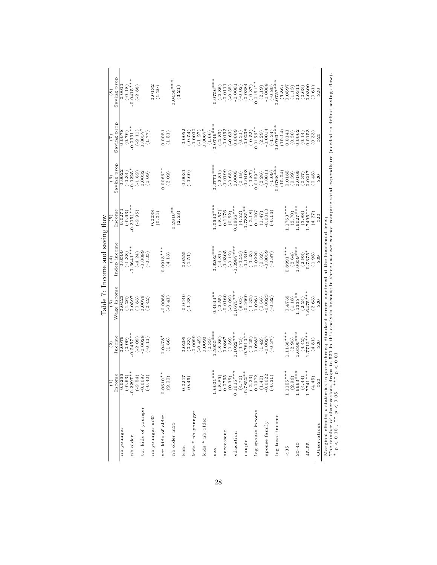| Saving prop<br>$-0.0415***$<br>$0.0756***$<br>$0.0456***$<br>$0.0757***$<br>$0.0151**$<br>$-0.0008$<br>$-0.0384$<br>$-0.0001$<br>0.0132<br>$-0.0111$<br>$(-0.02)$<br>$(-8.0)$<br>$(-0.80)$<br>$-0.0011$<br>$(-2.86)$<br>0.0597<br>$(-0.18)$<br>$(-0.35)$<br>0.0300<br>$(-2.88)$<br>(3.21)<br>(2.19)<br>(9.86)<br>(1.29)<br>(1.13)<br>0.0311<br>(0.63)<br>(0.61)<br>520<br>$\overset{\circ}{(8)}$<br>Saving prop<br>$-0.0746***$<br>$0.0763***$<br>$-0.0391***$<br>$0.0156**$<br>$0.0057$ *<br>$-0.0030$<br>$0.0067$ <sup>*</sup><br>$-0.0192$<br>$-0.0238$<br>$-0.0014$<br>0.0052<br>(10.14)<br>$(-2.11)$<br>$(-0.63)$<br>0.0009<br>$(-0.52)$<br>0.0078<br>$(-2.83)$<br>$(-1.34)$<br>$(-0.54)$<br>$(-1.27)$<br>0.0062<br>(0.31)<br>(2.29)<br>0.0141<br>0.0153<br>(0.76)<br>(1.51)<br>(1.66)<br>(0.30)<br>(0.14)<br>(77.1)<br>(0.33)<br>520<br>Saving prop<br>$0.0771***$<br>$0.0768***$<br>$0.0159**$<br>$0.0066**$<br>$0.0225*$<br>$-0.0403$<br>$-0.0199$<br>(10.04)<br>$-0.0022$<br>$-0.0031$<br>$-0.0011$<br>0.0032<br>$(-2.81)$<br>$(-0.65)$<br>0.0005<br>$(-0.87)$<br>0.0185<br>$(-0.34)$<br>$(-1.82)$<br>$(-0.60)$<br>$(-1.09)$<br>0.0169<br>(2.28)<br>(1.09)<br>(0.18)<br>(0.39)<br>(2.02)<br>(0.37)<br>0.0217<br>(0.45)<br>520<br>$\widehat{\circ}$<br>$-0.3051***$<br>$-1.5640***$<br>$1.1763***$<br>$1.6027***$<br>$1.7495***$<br>$0.0966***$<br>$-0.7385**$<br>$0.2810**$<br>Income<br>$-0.0274$<br>$-0.0010$<br>0.0038<br>0.1176<br>$(-2.18)$<br>$(-0.63)$<br>$(-8.57)$<br>0.1007<br>$(-2.95)$<br>$(-0.14)$<br>(2.70)<br>(0.52)<br>(4.52)<br>(3.88)<br>(2.53)<br>(1.47)<br>(0.04)<br>(4.27)<br>$\frac{520}{520}$<br>စ်<br>Indep income<br>$-0.3641***$<br>$0.0987***$<br>$-0.9202***$<br>$0.0913***$<br>$0.8991***$<br>$0659***$<br>$(2.93)$<br>0.7375*<br>$-0.0599$<br>$-0.0089$<br>$-0.0305$<br>$-0.1340$<br>0.0059<br>$(-4.24)$<br>$(-4.81)$<br>$(-0.35)$<br>0.5555<br>$(-4.33)$<br>$(-0.43)$<br>$(-1.38)$<br>$(-0.12)$<br>0.0220<br>$(-8.0 -$<br>(2.64)<br>(0.32)<br>(4.13)<br>(1.95)<br>(1.51)<br>$\frac{60}{3}$<br>Wage income<br>$1.6475***$<br>$0.1675***$<br>$0.4044**$<br>$1.1335**$<br>$-0.0440$<br>$-0.0160$<br>$-0.0088$<br>$-0.4660$<br>$-0.0023$<br>0.4739<br>$(-0.41)$<br>$(-1.38)$<br>$(-2.55)$<br>$(-0.09)$<br>$(-1.32)$<br>0.0597<br>$(-0.32)$<br>0.0423<br>0.0079<br>(9.65)<br>(1.26)<br>(0.83)<br>0.0261<br>(0.58)<br>(1.18)<br>(2.24)<br>(0.42)<br>(2.63)<br>520<br>$\overline{5}$<br>$-1.5955***$<br>$1.7712***$<br>$1.1136***$<br>$1.6590***$<br>$0.1022***$<br>$-0.7610**$<br>$-0.2457**$<br>Income<br>$0.0478*$<br>6600.0<br>$-0.0028$<br>$(-2.09)$<br>$(-8.86)$<br>0.0867<br>0.0076<br>0.0295<br>$(-0.49)$<br>0.0093<br>$(-2.25)$<br>0.0982<br>0.0027<br>$(-0.11)$<br>(0.39)<br>(1.86)<br>(0.33)<br>(4.73)<br>$(-0.37)$<br>(2.95)<br>(0.09)<br>(1.42)<br>(4.42)<br>(4.51)<br>(0.33)<br>$\frac{520}{520}$<br>(2)<br>$-1.6001***$<br>$1.7741***$<br>$5 * * *$<br>1.1155***<br>$(2.96)$<br>1.6663***<br>$\begin{gathered}(4.70)\\ -0.7852^{**}\\ (-2.33)\\ 0.0972\\ (1.40)\\ (-1.40)\\ -0.0022\\ (-0.31) \end{gathered}$<br>$(-0.63)$<br>$-0.2297**$<br>$(-2.54)$<br>$0.0510**$<br>(2.00)<br>Income<br>$-0.0266$<br>(000.00)<br>0.0217<br>$\begin{array}{c} (-8.89) \\ 0.0795 \\ (0.35) \end{array}$<br>(4.44)<br>(4.45)<br>(0.49)<br>$\frac{620}{ }$<br>0.101<br>tot kids of younger<br>log spouse income<br>kids * nb younger<br>tot kids of older<br>log total income<br>nb younger m35<br>kids * nb older<br>spouse family<br>nb older m35<br>Observations<br>nb younger<br>successeur<br>education<br>nb older<br>couple<br>$35 - 45$<br>45-55<br>kids<br>& 35<br>sex |  | Table 7: Income and saving flow |  |  |  |
|----------------------------------------------------------------------------------------------------------------------------------------------------------------------------------------------------------------------------------------------------------------------------------------------------------------------------------------------------------------------------------------------------------------------------------------------------------------------------------------------------------------------------------------------------------------------------------------------------------------------------------------------------------------------------------------------------------------------------------------------------------------------------------------------------------------------------------------------------------------------------------------------------------------------------------------------------------------------------------------------------------------------------------------------------------------------------------------------------------------------------------------------------------------------------------------------------------------------------------------------------------------------------------------------------------------------------------------------------------------------------------------------------------------------------------------------------------------------------------------------------------------------------------------------------------------------------------------------------------------------------------------------------------------------------------------------------------------------------------------------------------------------------------------------------------------------------------------------------------------------------------------------------------------------------------------------------------------------------------------------------------------------------------------------------------------------------------------------------------------------------------------------------------------------------------------------------------------------------------------------------------------------------------------------------------------------------------------------------------------------------------------------------------------------------------------------------------------------------------------------------------------------------------------------------------------------------------------------------------------------------------------------------------------------------------------------------------------------------------------------------------------------------------------------------------------------------------------------------------------------------------------------------------------------------------------------------------------------------------------------------------------------------------------------------------------------------------------------------------------------------------------------------------------------------------------------------------------------------------------------------------------------------------------------------------------------------------------------------------------------------------------------------------------------------------------------------------------------------------------------------------------------------------------------------------------------------------------------------------------|--|---------------------------------|--|--|--|
|                                                                                                                                                                                                                                                                                                                                                                                                                                                                                                                                                                                                                                                                                                                                                                                                                                                                                                                                                                                                                                                                                                                                                                                                                                                                                                                                                                                                                                                                                                                                                                                                                                                                                                                                                                                                                                                                                                                                                                                                                                                                                                                                                                                                                                                                                                                                                                                                                                                                                                                                                                                                                                                                                                                                                                                                                                                                                                                                                                                                                                                                                                                                                                                                                                                                                                                                                                                                                                                                                                                                                                                                                |  |                                 |  |  |  |
|                                                                                                                                                                                                                                                                                                                                                                                                                                                                                                                                                                                                                                                                                                                                                                                                                                                                                                                                                                                                                                                                                                                                                                                                                                                                                                                                                                                                                                                                                                                                                                                                                                                                                                                                                                                                                                                                                                                                                                                                                                                                                                                                                                                                                                                                                                                                                                                                                                                                                                                                                                                                                                                                                                                                                                                                                                                                                                                                                                                                                                                                                                                                                                                                                                                                                                                                                                                                                                                                                                                                                                                                                |  |                                 |  |  |  |
|                                                                                                                                                                                                                                                                                                                                                                                                                                                                                                                                                                                                                                                                                                                                                                                                                                                                                                                                                                                                                                                                                                                                                                                                                                                                                                                                                                                                                                                                                                                                                                                                                                                                                                                                                                                                                                                                                                                                                                                                                                                                                                                                                                                                                                                                                                                                                                                                                                                                                                                                                                                                                                                                                                                                                                                                                                                                                                                                                                                                                                                                                                                                                                                                                                                                                                                                                                                                                                                                                                                                                                                                                |  |                                 |  |  |  |
|                                                                                                                                                                                                                                                                                                                                                                                                                                                                                                                                                                                                                                                                                                                                                                                                                                                                                                                                                                                                                                                                                                                                                                                                                                                                                                                                                                                                                                                                                                                                                                                                                                                                                                                                                                                                                                                                                                                                                                                                                                                                                                                                                                                                                                                                                                                                                                                                                                                                                                                                                                                                                                                                                                                                                                                                                                                                                                                                                                                                                                                                                                                                                                                                                                                                                                                                                                                                                                                                                                                                                                                                                |  |                                 |  |  |  |
|                                                                                                                                                                                                                                                                                                                                                                                                                                                                                                                                                                                                                                                                                                                                                                                                                                                                                                                                                                                                                                                                                                                                                                                                                                                                                                                                                                                                                                                                                                                                                                                                                                                                                                                                                                                                                                                                                                                                                                                                                                                                                                                                                                                                                                                                                                                                                                                                                                                                                                                                                                                                                                                                                                                                                                                                                                                                                                                                                                                                                                                                                                                                                                                                                                                                                                                                                                                                                                                                                                                                                                                                                |  |                                 |  |  |  |
|                                                                                                                                                                                                                                                                                                                                                                                                                                                                                                                                                                                                                                                                                                                                                                                                                                                                                                                                                                                                                                                                                                                                                                                                                                                                                                                                                                                                                                                                                                                                                                                                                                                                                                                                                                                                                                                                                                                                                                                                                                                                                                                                                                                                                                                                                                                                                                                                                                                                                                                                                                                                                                                                                                                                                                                                                                                                                                                                                                                                                                                                                                                                                                                                                                                                                                                                                                                                                                                                                                                                                                                                                |  |                                 |  |  |  |
|                                                                                                                                                                                                                                                                                                                                                                                                                                                                                                                                                                                                                                                                                                                                                                                                                                                                                                                                                                                                                                                                                                                                                                                                                                                                                                                                                                                                                                                                                                                                                                                                                                                                                                                                                                                                                                                                                                                                                                                                                                                                                                                                                                                                                                                                                                                                                                                                                                                                                                                                                                                                                                                                                                                                                                                                                                                                                                                                                                                                                                                                                                                                                                                                                                                                                                                                                                                                                                                                                                                                                                                                                |  |                                 |  |  |  |
|                                                                                                                                                                                                                                                                                                                                                                                                                                                                                                                                                                                                                                                                                                                                                                                                                                                                                                                                                                                                                                                                                                                                                                                                                                                                                                                                                                                                                                                                                                                                                                                                                                                                                                                                                                                                                                                                                                                                                                                                                                                                                                                                                                                                                                                                                                                                                                                                                                                                                                                                                                                                                                                                                                                                                                                                                                                                                                                                                                                                                                                                                                                                                                                                                                                                                                                                                                                                                                                                                                                                                                                                                |  |                                 |  |  |  |
|                                                                                                                                                                                                                                                                                                                                                                                                                                                                                                                                                                                                                                                                                                                                                                                                                                                                                                                                                                                                                                                                                                                                                                                                                                                                                                                                                                                                                                                                                                                                                                                                                                                                                                                                                                                                                                                                                                                                                                                                                                                                                                                                                                                                                                                                                                                                                                                                                                                                                                                                                                                                                                                                                                                                                                                                                                                                                                                                                                                                                                                                                                                                                                                                                                                                                                                                                                                                                                                                                                                                                                                                                |  |                                 |  |  |  |
|                                                                                                                                                                                                                                                                                                                                                                                                                                                                                                                                                                                                                                                                                                                                                                                                                                                                                                                                                                                                                                                                                                                                                                                                                                                                                                                                                                                                                                                                                                                                                                                                                                                                                                                                                                                                                                                                                                                                                                                                                                                                                                                                                                                                                                                                                                                                                                                                                                                                                                                                                                                                                                                                                                                                                                                                                                                                                                                                                                                                                                                                                                                                                                                                                                                                                                                                                                                                                                                                                                                                                                                                                |  |                                 |  |  |  |
|                                                                                                                                                                                                                                                                                                                                                                                                                                                                                                                                                                                                                                                                                                                                                                                                                                                                                                                                                                                                                                                                                                                                                                                                                                                                                                                                                                                                                                                                                                                                                                                                                                                                                                                                                                                                                                                                                                                                                                                                                                                                                                                                                                                                                                                                                                                                                                                                                                                                                                                                                                                                                                                                                                                                                                                                                                                                                                                                                                                                                                                                                                                                                                                                                                                                                                                                                                                                                                                                                                                                                                                                                |  |                                 |  |  |  |
|                                                                                                                                                                                                                                                                                                                                                                                                                                                                                                                                                                                                                                                                                                                                                                                                                                                                                                                                                                                                                                                                                                                                                                                                                                                                                                                                                                                                                                                                                                                                                                                                                                                                                                                                                                                                                                                                                                                                                                                                                                                                                                                                                                                                                                                                                                                                                                                                                                                                                                                                                                                                                                                                                                                                                                                                                                                                                                                                                                                                                                                                                                                                                                                                                                                                                                                                                                                                                                                                                                                                                                                                                |  |                                 |  |  |  |
|                                                                                                                                                                                                                                                                                                                                                                                                                                                                                                                                                                                                                                                                                                                                                                                                                                                                                                                                                                                                                                                                                                                                                                                                                                                                                                                                                                                                                                                                                                                                                                                                                                                                                                                                                                                                                                                                                                                                                                                                                                                                                                                                                                                                                                                                                                                                                                                                                                                                                                                                                                                                                                                                                                                                                                                                                                                                                                                                                                                                                                                                                                                                                                                                                                                                                                                                                                                                                                                                                                                                                                                                                |  |                                 |  |  |  |
|                                                                                                                                                                                                                                                                                                                                                                                                                                                                                                                                                                                                                                                                                                                                                                                                                                                                                                                                                                                                                                                                                                                                                                                                                                                                                                                                                                                                                                                                                                                                                                                                                                                                                                                                                                                                                                                                                                                                                                                                                                                                                                                                                                                                                                                                                                                                                                                                                                                                                                                                                                                                                                                                                                                                                                                                                                                                                                                                                                                                                                                                                                                                                                                                                                                                                                                                                                                                                                                                                                                                                                                                                |  |                                 |  |  |  |
|                                                                                                                                                                                                                                                                                                                                                                                                                                                                                                                                                                                                                                                                                                                                                                                                                                                                                                                                                                                                                                                                                                                                                                                                                                                                                                                                                                                                                                                                                                                                                                                                                                                                                                                                                                                                                                                                                                                                                                                                                                                                                                                                                                                                                                                                                                                                                                                                                                                                                                                                                                                                                                                                                                                                                                                                                                                                                                                                                                                                                                                                                                                                                                                                                                                                                                                                                                                                                                                                                                                                                                                                                |  |                                 |  |  |  |
|                                                                                                                                                                                                                                                                                                                                                                                                                                                                                                                                                                                                                                                                                                                                                                                                                                                                                                                                                                                                                                                                                                                                                                                                                                                                                                                                                                                                                                                                                                                                                                                                                                                                                                                                                                                                                                                                                                                                                                                                                                                                                                                                                                                                                                                                                                                                                                                                                                                                                                                                                                                                                                                                                                                                                                                                                                                                                                                                                                                                                                                                                                                                                                                                                                                                                                                                                                                                                                                                                                                                                                                                                |  |                                 |  |  |  |
|                                                                                                                                                                                                                                                                                                                                                                                                                                                                                                                                                                                                                                                                                                                                                                                                                                                                                                                                                                                                                                                                                                                                                                                                                                                                                                                                                                                                                                                                                                                                                                                                                                                                                                                                                                                                                                                                                                                                                                                                                                                                                                                                                                                                                                                                                                                                                                                                                                                                                                                                                                                                                                                                                                                                                                                                                                                                                                                                                                                                                                                                                                                                                                                                                                                                                                                                                                                                                                                                                                                                                                                                                |  |                                 |  |  |  |
|                                                                                                                                                                                                                                                                                                                                                                                                                                                                                                                                                                                                                                                                                                                                                                                                                                                                                                                                                                                                                                                                                                                                                                                                                                                                                                                                                                                                                                                                                                                                                                                                                                                                                                                                                                                                                                                                                                                                                                                                                                                                                                                                                                                                                                                                                                                                                                                                                                                                                                                                                                                                                                                                                                                                                                                                                                                                                                                                                                                                                                                                                                                                                                                                                                                                                                                                                                                                                                                                                                                                                                                                                |  |                                 |  |  |  |
|                                                                                                                                                                                                                                                                                                                                                                                                                                                                                                                                                                                                                                                                                                                                                                                                                                                                                                                                                                                                                                                                                                                                                                                                                                                                                                                                                                                                                                                                                                                                                                                                                                                                                                                                                                                                                                                                                                                                                                                                                                                                                                                                                                                                                                                                                                                                                                                                                                                                                                                                                                                                                                                                                                                                                                                                                                                                                                                                                                                                                                                                                                                                                                                                                                                                                                                                                                                                                                                                                                                                                                                                                |  |                                 |  |  |  |
|                                                                                                                                                                                                                                                                                                                                                                                                                                                                                                                                                                                                                                                                                                                                                                                                                                                                                                                                                                                                                                                                                                                                                                                                                                                                                                                                                                                                                                                                                                                                                                                                                                                                                                                                                                                                                                                                                                                                                                                                                                                                                                                                                                                                                                                                                                                                                                                                                                                                                                                                                                                                                                                                                                                                                                                                                                                                                                                                                                                                                                                                                                                                                                                                                                                                                                                                                                                                                                                                                                                                                                                                                |  |                                 |  |  |  |
|                                                                                                                                                                                                                                                                                                                                                                                                                                                                                                                                                                                                                                                                                                                                                                                                                                                                                                                                                                                                                                                                                                                                                                                                                                                                                                                                                                                                                                                                                                                                                                                                                                                                                                                                                                                                                                                                                                                                                                                                                                                                                                                                                                                                                                                                                                                                                                                                                                                                                                                                                                                                                                                                                                                                                                                                                                                                                                                                                                                                                                                                                                                                                                                                                                                                                                                                                                                                                                                                                                                                                                                                                |  |                                 |  |  |  |
|                                                                                                                                                                                                                                                                                                                                                                                                                                                                                                                                                                                                                                                                                                                                                                                                                                                                                                                                                                                                                                                                                                                                                                                                                                                                                                                                                                                                                                                                                                                                                                                                                                                                                                                                                                                                                                                                                                                                                                                                                                                                                                                                                                                                                                                                                                                                                                                                                                                                                                                                                                                                                                                                                                                                                                                                                                                                                                                                                                                                                                                                                                                                                                                                                                                                                                                                                                                                                                                                                                                                                                                                                |  |                                 |  |  |  |
|                                                                                                                                                                                                                                                                                                                                                                                                                                                                                                                                                                                                                                                                                                                                                                                                                                                                                                                                                                                                                                                                                                                                                                                                                                                                                                                                                                                                                                                                                                                                                                                                                                                                                                                                                                                                                                                                                                                                                                                                                                                                                                                                                                                                                                                                                                                                                                                                                                                                                                                                                                                                                                                                                                                                                                                                                                                                                                                                                                                                                                                                                                                                                                                                                                                                                                                                                                                                                                                                                                                                                                                                                |  |                                 |  |  |  |
|                                                                                                                                                                                                                                                                                                                                                                                                                                                                                                                                                                                                                                                                                                                                                                                                                                                                                                                                                                                                                                                                                                                                                                                                                                                                                                                                                                                                                                                                                                                                                                                                                                                                                                                                                                                                                                                                                                                                                                                                                                                                                                                                                                                                                                                                                                                                                                                                                                                                                                                                                                                                                                                                                                                                                                                                                                                                                                                                                                                                                                                                                                                                                                                                                                                                                                                                                                                                                                                                                                                                                                                                                |  |                                 |  |  |  |
|                                                                                                                                                                                                                                                                                                                                                                                                                                                                                                                                                                                                                                                                                                                                                                                                                                                                                                                                                                                                                                                                                                                                                                                                                                                                                                                                                                                                                                                                                                                                                                                                                                                                                                                                                                                                                                                                                                                                                                                                                                                                                                                                                                                                                                                                                                                                                                                                                                                                                                                                                                                                                                                                                                                                                                                                                                                                                                                                                                                                                                                                                                                                                                                                                                                                                                                                                                                                                                                                                                                                                                                                                |  |                                 |  |  |  |
|                                                                                                                                                                                                                                                                                                                                                                                                                                                                                                                                                                                                                                                                                                                                                                                                                                                                                                                                                                                                                                                                                                                                                                                                                                                                                                                                                                                                                                                                                                                                                                                                                                                                                                                                                                                                                                                                                                                                                                                                                                                                                                                                                                                                                                                                                                                                                                                                                                                                                                                                                                                                                                                                                                                                                                                                                                                                                                                                                                                                                                                                                                                                                                                                                                                                                                                                                                                                                                                                                                                                                                                                                |  |                                 |  |  |  |
|                                                                                                                                                                                                                                                                                                                                                                                                                                                                                                                                                                                                                                                                                                                                                                                                                                                                                                                                                                                                                                                                                                                                                                                                                                                                                                                                                                                                                                                                                                                                                                                                                                                                                                                                                                                                                                                                                                                                                                                                                                                                                                                                                                                                                                                                                                                                                                                                                                                                                                                                                                                                                                                                                                                                                                                                                                                                                                                                                                                                                                                                                                                                                                                                                                                                                                                                                                                                                                                                                                                                                                                                                |  |                                 |  |  |  |
|                                                                                                                                                                                                                                                                                                                                                                                                                                                                                                                                                                                                                                                                                                                                                                                                                                                                                                                                                                                                                                                                                                                                                                                                                                                                                                                                                                                                                                                                                                                                                                                                                                                                                                                                                                                                                                                                                                                                                                                                                                                                                                                                                                                                                                                                                                                                                                                                                                                                                                                                                                                                                                                                                                                                                                                                                                                                                                                                                                                                                                                                                                                                                                                                                                                                                                                                                                                                                                                                                                                                                                                                                |  |                                 |  |  |  |
|                                                                                                                                                                                                                                                                                                                                                                                                                                                                                                                                                                                                                                                                                                                                                                                                                                                                                                                                                                                                                                                                                                                                                                                                                                                                                                                                                                                                                                                                                                                                                                                                                                                                                                                                                                                                                                                                                                                                                                                                                                                                                                                                                                                                                                                                                                                                                                                                                                                                                                                                                                                                                                                                                                                                                                                                                                                                                                                                                                                                                                                                                                                                                                                                                                                                                                                                                                                                                                                                                                                                                                                                                |  |                                 |  |  |  |
|                                                                                                                                                                                                                                                                                                                                                                                                                                                                                                                                                                                                                                                                                                                                                                                                                                                                                                                                                                                                                                                                                                                                                                                                                                                                                                                                                                                                                                                                                                                                                                                                                                                                                                                                                                                                                                                                                                                                                                                                                                                                                                                                                                                                                                                                                                                                                                                                                                                                                                                                                                                                                                                                                                                                                                                                                                                                                                                                                                                                                                                                                                                                                                                                                                                                                                                                                                                                                                                                                                                                                                                                                |  |                                 |  |  |  |
|                                                                                                                                                                                                                                                                                                                                                                                                                                                                                                                                                                                                                                                                                                                                                                                                                                                                                                                                                                                                                                                                                                                                                                                                                                                                                                                                                                                                                                                                                                                                                                                                                                                                                                                                                                                                                                                                                                                                                                                                                                                                                                                                                                                                                                                                                                                                                                                                                                                                                                                                                                                                                                                                                                                                                                                                                                                                                                                                                                                                                                                                                                                                                                                                                                                                                                                                                                                                                                                                                                                                                                                                                |  |                                 |  |  |  |
|                                                                                                                                                                                                                                                                                                                                                                                                                                                                                                                                                                                                                                                                                                                                                                                                                                                                                                                                                                                                                                                                                                                                                                                                                                                                                                                                                                                                                                                                                                                                                                                                                                                                                                                                                                                                                                                                                                                                                                                                                                                                                                                                                                                                                                                                                                                                                                                                                                                                                                                                                                                                                                                                                                                                                                                                                                                                                                                                                                                                                                                                                                                                                                                                                                                                                                                                                                                                                                                                                                                                                                                                                |  |                                 |  |  |  |
|                                                                                                                                                                                                                                                                                                                                                                                                                                                                                                                                                                                                                                                                                                                                                                                                                                                                                                                                                                                                                                                                                                                                                                                                                                                                                                                                                                                                                                                                                                                                                                                                                                                                                                                                                                                                                                                                                                                                                                                                                                                                                                                                                                                                                                                                                                                                                                                                                                                                                                                                                                                                                                                                                                                                                                                                                                                                                                                                                                                                                                                                                                                                                                                                                                                                                                                                                                                                                                                                                                                                                                                                                |  |                                 |  |  |  |
|                                                                                                                                                                                                                                                                                                                                                                                                                                                                                                                                                                                                                                                                                                                                                                                                                                                                                                                                                                                                                                                                                                                                                                                                                                                                                                                                                                                                                                                                                                                                                                                                                                                                                                                                                                                                                                                                                                                                                                                                                                                                                                                                                                                                                                                                                                                                                                                                                                                                                                                                                                                                                                                                                                                                                                                                                                                                                                                                                                                                                                                                                                                                                                                                                                                                                                                                                                                                                                                                                                                                                                                                                |  |                                 |  |  |  |
|                                                                                                                                                                                                                                                                                                                                                                                                                                                                                                                                                                                                                                                                                                                                                                                                                                                                                                                                                                                                                                                                                                                                                                                                                                                                                                                                                                                                                                                                                                                                                                                                                                                                                                                                                                                                                                                                                                                                                                                                                                                                                                                                                                                                                                                                                                                                                                                                                                                                                                                                                                                                                                                                                                                                                                                                                                                                                                                                                                                                                                                                                                                                                                                                                                                                                                                                                                                                                                                                                                                                                                                                                |  |                                 |  |  |  |
|                                                                                                                                                                                                                                                                                                                                                                                                                                                                                                                                                                                                                                                                                                                                                                                                                                                                                                                                                                                                                                                                                                                                                                                                                                                                                                                                                                                                                                                                                                                                                                                                                                                                                                                                                                                                                                                                                                                                                                                                                                                                                                                                                                                                                                                                                                                                                                                                                                                                                                                                                                                                                                                                                                                                                                                                                                                                                                                                                                                                                                                                                                                                                                                                                                                                                                                                                                                                                                                                                                                                                                                                                |  |                                 |  |  |  |
|                                                                                                                                                                                                                                                                                                                                                                                                                                                                                                                                                                                                                                                                                                                                                                                                                                                                                                                                                                                                                                                                                                                                                                                                                                                                                                                                                                                                                                                                                                                                                                                                                                                                                                                                                                                                                                                                                                                                                                                                                                                                                                                                                                                                                                                                                                                                                                                                                                                                                                                                                                                                                                                                                                                                                                                                                                                                                                                                                                                                                                                                                                                                                                                                                                                                                                                                                                                                                                                                                                                                                                                                                |  |                                 |  |  |  |

The number of observations drops to 520 in this analysis because in three caseswe cannot compute total expenditure (needed to define savings flow). The number of observations drops to 520 in this analysis because in three caseswe cannot compute total expenditure (needed to define savings flow).<br>\*  $p < 0.10$ , \*\*  $p < 0.05$ , \*\*\*  $p < 0.01$ p < 0.10 , ∗∗ p < 0.05 , ∗∗∗ p < 0.01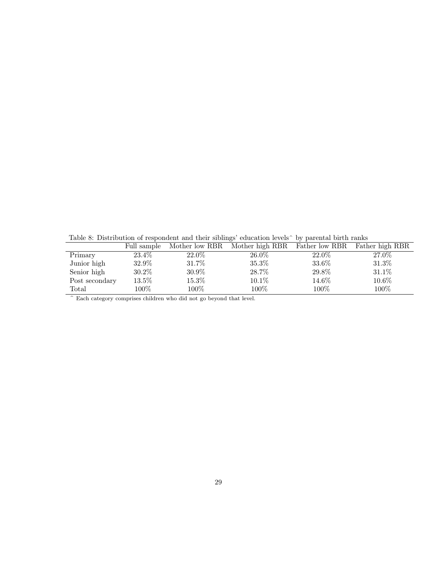Table 8: Distribution of respondent and their siblings' education levels^ by parental birth ranks

|                | Full sample |          | Mother low RBR Mother high RBR | Father low RBR | Father high RBR |
|----------------|-------------|----------|--------------------------------|----------------|-----------------|
| Primary        | 23.4%       | $22.0\%$ | $26.0\%$                       | 22.0\%         | 27.0%           |
| Junior high    | 32.9%       | 31.7%    | 35.3%                          | 33.6%          | 31.3%           |
| Senior high    | 30.2%       | 30.9%    | 28.7%                          | 29.8%          | 31.1%           |
| Post secondary | $13.5\%$    | 15.3%    | 10.1%                          | $14.6\%$       | $10.6\%$        |
| Total          | $100\%$     | $100\%$  | $100\%$                        | 100%           | 100%            |
|                |             |          |                                |                |                 |

 $\hat{C}$  Each category comprises children who did not go beyond that level.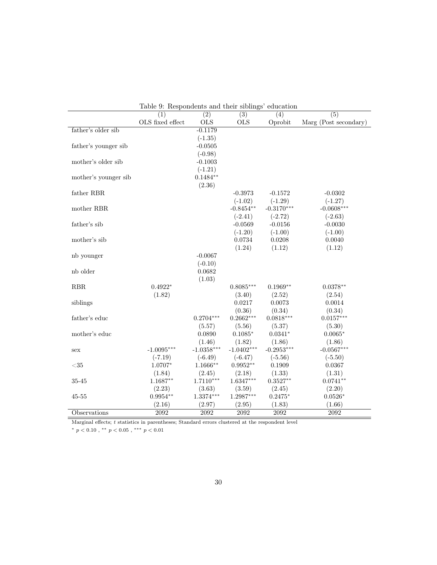|                                  | Table 9: Respondents and their siblings' education |                  |              |              |                       |
|----------------------------------|----------------------------------------------------|------------------|--------------|--------------|-----------------------|
|                                  | (1)                                                | $\overline{(2)}$ | (3)          | (4)          | $\overline{(5)}$      |
|                                  | OLS fixed effect                                   | <b>OLS</b>       | <b>OLS</b>   | Oprobit      | Marg (Post secondary) |
| father's older sib               |                                                    | $-0.1179$        |              |              |                       |
|                                  |                                                    | $(-1.35)$        |              |              |                       |
| father's younger sib             |                                                    | $-0.0505$        |              |              |                       |
|                                  |                                                    | $(-0.98)$        |              |              |                       |
| mother's older sib               |                                                    | $-0.1003$        |              |              |                       |
|                                  |                                                    | $(-1.21)$        |              |              |                       |
| mother's younger sib             |                                                    | $0.1484**$       |              |              |                       |
|                                  |                                                    | (2.36)           |              |              |                       |
| father RBR                       |                                                    |                  | $-0.3973$    | $-0.1572$    | $-0.0302$             |
|                                  |                                                    |                  | $(-1.02)$    | $(-1.29)$    | $(-1.27)$             |
| mother RBR                       |                                                    |                  | $-0.8454**$  | $-0.3170***$ | $-0.0608***$          |
|                                  |                                                    |                  | $(-2.41)$    | $(-2.72)$    | $(-2.63)$             |
| father's sib                     |                                                    |                  | $-0.0569$    | $-0.0156$    | $-0.0030$             |
|                                  |                                                    |                  | $(-1.20)$    | $(-1.00)$    | $(-1.00)$             |
| mother's sib                     |                                                    |                  | 0.0734       | 0.0208       | 0.0040                |
|                                  |                                                    |                  | (1.24)       | (1.12)       | (1.12)                |
| nb younger                       |                                                    | $-0.0067$        |              |              |                       |
|                                  |                                                    | $(-0.10)$        |              |              |                       |
| $\mathop{\rm nb}\nolimits$ older |                                                    | 0.0682           |              |              |                       |
|                                  |                                                    | (1.03)           |              |              |                       |
| RBR                              | $0.4922*$                                          |                  | $0.8085***$  | $0.1969**$   | $0.0378**$            |
|                                  | (1.82)                                             |                  | (3.40)       | (2.52)       | (2.54)                |
| siblings                         |                                                    |                  | 0.0217       | 0.0073       | 0.0014                |
|                                  |                                                    |                  | (0.36)       | (0.34)       | (0.34)                |
| father's educ                    |                                                    | $0.2704***$      | $0.2662***$  | $0.0818***$  | $0.0157***$           |
|                                  |                                                    | (5.57)           | (5.56)       | (5.37)       | (5.30)                |
| mother's educ                    |                                                    | 0.0890           | $0.1085*$    | $0.0341*$    | $0.0065*$             |
|                                  |                                                    | (1.46)           | (1.82)       | (1.86)       | (1.86)                |
| sex                              | $-1.0095***$                                       | $-1.0358***$     | $-1.0402***$ | $-0.2953***$ | $-0.0567***$          |
|                                  | $(-7.19)$                                          | $(-6.49)$        | $(-6.47)$    | $(-5.56)$    | $(-5.50)$             |
| $<$ 35                           | 1.0707*                                            | $1.1666**$       | $0.9952**$   | 0.1909       | 0.0367                |
|                                  | (1.84)                                             | (2.45)           | (2.18)       | (1.33)       | (1.31)                |
| 35-45                            | $1.1687**$                                         | $1.7110***$      | $1.6347***$  | $0.3527**$   | $0.0741**$            |
|                                  | (2.23)                                             | (3.63)           | (3.59)       | (2.45)       | (2.20)                |
| $45 - 55$                        | $0.9954**$                                         | 1.3374***        | $1.2987***$  | $0.2475*$    | $0.0526*$             |
|                                  | (2.16)                                             | (2.97)           | (2.95)       | (1.83)       | (1.66)                |
| Observations                     | 2092                                               | 2092             | 2092         | 2092         | 2092                  |

 $T_{\rm e}$  and  $T_{\rm e}$  and the siblings of  $T_{\rm e}$ 

Marginal effects;  $t$  statistics in parentheses; Standard errors clustered at the respondent level  $\;$ 

\*  $p < 0.10$ , \*\*  $p < 0.05$ , \*\*\*  $p < 0.01$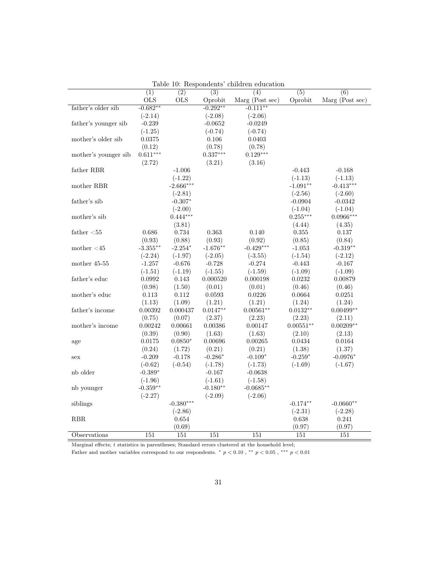|                             |            |             |                  | Table To. Thespondents children equeation |                  |                  |
|-----------------------------|------------|-------------|------------------|-------------------------------------------|------------------|------------------|
|                             | (1)        | (2)         | $\overline{(3)}$ | $\overline{(4)}$                          | $\overline{(5)}$ | $\overline{(6)}$ |
|                             | <b>OLS</b> | <b>OLS</b>  | Oprobit          | Marg (Post sec)                           | Oprobit          | Marg (Post sec)  |
| father's older sib          | $-0.682**$ |             | $-0.292**$       | $-0.111**$                                |                  |                  |
|                             | $(-2.14)$  |             | $(-2.08)$        | $(-2.06)$                                 |                  |                  |
| father's younger sib        | $-0.239$   |             | $-0.0652$        | $-0.0249$                                 |                  |                  |
|                             | $(-1.25)$  |             | $(-0.74)$        | $(-0.74)$                                 |                  |                  |
| mother's older sib          | 0.0375     |             | 0.106            | 0.0403                                    |                  |                  |
|                             | (0.12)     |             | (0.78)           | (0.78)                                    |                  |                  |
| mother's younger sib        | $0.611***$ |             | $0.337***$       | $0.129***$                                |                  |                  |
|                             | (2.72)     |             | (3.21)           | (3.16)                                    |                  |                  |
| ${\rm father}$ RBR          |            | $-1.006$    |                  |                                           | $-0.443$         | $-0.168$         |
|                             |            | $(-1.22)$   |                  |                                           | $(-1.13)$        | $(-1.13)$        |
| mother $\operatorname{RBR}$ |            | $-2.666***$ |                  |                                           | $-1.091**$       | $-0.413***$      |
|                             |            |             |                  |                                           |                  |                  |
|                             |            | $(-2.81)$   |                  |                                           | $(-2.56)$        | $(-2.60)$        |
| father's sib                |            | $-0.307*$   |                  |                                           | $-0.0904$        | $-0.0342$        |
|                             |            | $(-2.00)$   |                  |                                           | $(-1.04)$        | $(-1.04)$        |
| mother's sib                |            | $0.444***$  |                  |                                           | $0.255***$       | $0.0966***$      |
|                             |            | (3.81)      |                  |                                           | (4.44)           | (4.35)           |
| father $<$ 55               | 0.686      | 0.734       | 0.363            | 0.140                                     | 0.355            | 0.137            |
|                             | (0.93)     | (0.88)      | (0.93)           | (0.92)                                    | (0.85)           | (0.84)           |
| mother $\leq 45$            | $-3.355**$ | $-2.254*$   | $-1.676**$       | $-0.429***$                               | $-1.053$         | $-0.319**$       |
|                             | $(-2.24)$  | $(-1.97)$   | $(-2.05)$        | $(-3.55)$                                 | $(-1.54)$        | $(-2.12)$        |
| mother 45-55                | $-1.257$   | $-0.676$    | $-0.728$         | $-0.274$                                  | $-0.443$         | $-0.167$         |
|                             | $(-1.51)$  | $(-1.19)$   | $(-1.55)$        | $(-1.59)$                                 | $(-1.09)$        | $(-1.09)$        |
| father's educ               | 0.0992     | 0.143       | 0.000520         | 0.000198                                  | 0.0232           | 0.00879          |
|                             | (0.98)     | (1.50)      | (0.01)           | (0.01)                                    | (0.46)           | (0.46)           |
| mother's educ               | 0.113      | 0.112       | 0.0593           | 0.0226                                    | 0.0664           | 0.0251           |
|                             | (1.13)     | (1.09)      | (1.21)           | (1.21)                                    | (1.24)           | (1.24)           |
| father's income             | 0.00392    | 0.000437    | $0.0147**$       | $0.00561**$                               | $0.0132**$       | $0.00499**$      |
|                             | (0.75)     | (0.07)      | (2.37)           | (2.23)                                    | (2.23)           | (2.11)           |
| mother's income             | 0.00242    | 0.00661     | 0.00386          | 0.00147                                   | $0.00551**$      | $0.00209**$      |
|                             | (0.39)     | (0.90)      | (1.63)           | (1.63)                                    | (2.10)           | (2.13)           |
| age                         | 0.0175     | $0.0850*$   | 0.00696          | 0.00265                                   | 0.0434           | 0.0164           |
|                             | (0.24)     | (1.72)      | (0.21)           | (0.21)                                    | (1.38)           | (1.37)           |
| sex                         | $-0.209$   | $-0.178$    | $-0.286*$        | $-0.109*$                                 | $-0.259*$        | $-0.0976*$       |
|                             | $(-0.62)$  | $(-0.54)$   | $(-1.78)$        | $(-1.73)$                                 | $(-1.69)$        | $(-1.67)$        |
| nb older                    | $-0.389*$  |             | $-0.167$         | $-0.0638$                                 |                  |                  |
|                             | $(-1.96)$  |             | $(-1.61)$        | $(-1.58)$                                 |                  |                  |
|                             | $-0.359**$ |             | $-0.180**$       | $-0.0685**$                               |                  |                  |
| nb younger                  |            |             |                  |                                           |                  |                  |
|                             | $(-2.27)$  |             | $(-2.09)$        | $(-2.06)$                                 |                  |                  |
| siblings                    |            | $-0.380***$ |                  |                                           | $-0.174**$       | $-0.0660**$      |
|                             |            | $(-2.86)$   |                  |                                           | $(-2.31)$        | $(-2.28)$        |
| <b>RBR</b>                  |            | 0.654       |                  |                                           | 0.638            | 0.241            |
|                             |            | (0.69)      |                  |                                           | (0.97)           | (0.97)           |
| Observations                | 151        | 151         | 151              | 151                                       | 151              | 151              |

Table 10: Respondents' children education

Marginal effects; t statistics in parentheses; Standard errors clustered at the household level;

Father and mother variables correspond to our respondents. \*  $p < 0.10$ , \*\*  $p < 0.05$ , \*\*\*  $p < 0.01$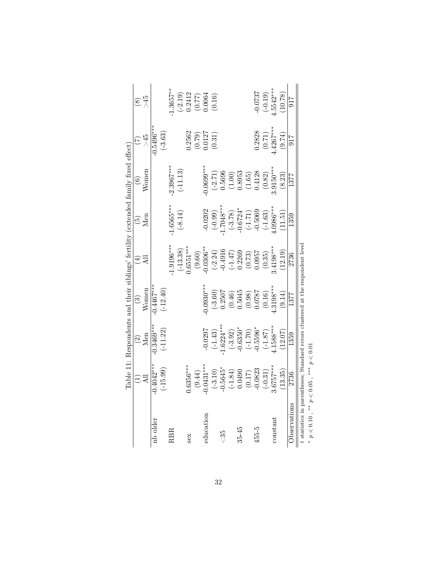|              |                       | $\frac{2}{M}$                                                                          | $\binom{3}{2}$     | $\bigoplus$         | $\widetilde{\mathfrak{G}}$                                                | $\odot$            |                      | $\widehat{\infty}$       |
|--------------|-----------------------|----------------------------------------------------------------------------------------|--------------------|---------------------|---------------------------------------------------------------------------|--------------------|----------------------|--------------------------|
|              |                       |                                                                                        | Women              |                     | Men                                                                       | Women              | $\approx$            | $-45$                    |
| nb older     | $0.4042***$           | $0.3469***$                                                                            | $0.4467***$        |                     |                                                                           |                    | $-0.5496***$         |                          |
|              | $(-15.99)$            | $(-11.22)$                                                                             | $(-12.40)$         |                     |                                                                           |                    | $(-3.63)$            |                          |
| RBR          |                       |                                                                                        |                    | $1.9196***$         | $-1.6565***$                                                              | $2.3967***$        |                      | $1.3657***$              |
|              |                       |                                                                                        |                    | $(-13.38)$          | $(-8.14)$                                                                 | $(-11.13)$         |                      | $(-2.19)$                |
| sex          | $0.6356***$           |                                                                                        |                    | $0.6551***$         |                                                                           |                    | 1.2562               | 0.2412                   |
|              | (9.44)                |                                                                                        |                    | (9.60)              |                                                                           |                    |                      |                          |
| education    | $0.0431***$           | $-0.0297$                                                                              | $0.0930***$        | $0.0306**$          | $-0.0202$                                                                 | $-0.0699***$       | $(0.79)$<br>$0.0127$ | $(0.77)$<br>0.0064       |
|              |                       | $(-1.43)$                                                                              | $(-3.60)$          | $(-2.24)$           | $(-0.99)$                                                                 | $(-2.71)$          | (0.31)               | (0.16)                   |
| చే           | $(-3.10)$<br>-0.5645* | $-6224***$                                                                             | 0.2507             | $-0.4916$           | $1.7048***$                                                               | 0.5696             |                      |                          |
|              |                       |                                                                                        |                    | $(-1.47)$<br>0.2269 |                                                                           |                    |                      |                          |
| $35 - 45$    | $(-1.84)$<br>0.0490   |                                                                                        | $(0.46)$<br>0.5045 |                     |                                                                           | $(1.00)$<br>0.8953 |                      |                          |
|              | $(0.17)$<br>-0.0823   | $(-3.92)$<br>$-0.6350*$<br>$(-1.70)$<br>$-0.5596*$                                     | (0.98)             |                     | $\begin{array}{c} (-3.78) \\ -0.6724^* \\ (-1.71) \\ -0.5069 \end{array}$ |                    |                      |                          |
| 455-5        |                       |                                                                                        | 1.0787             | $(0.73)$<br>0.0957  |                                                                           | $(1.65)$<br>0.4128 | 0.2828               | 0.0737                   |
|              | $(-0.31)$             | $(-1.87)$                                                                              | (0.16)             | (0.35)              | $(-1.63)$                                                                 | (0.82)             | (0.71)               |                          |
| constant     | $.6757***$            | $.1588***$                                                                             | $.3198***$         | $.4198***$          | $0.0986***$                                                               | $.9150***$         | $.4267***$           | $(-0.19)$<br>$1.5542***$ |
|              | (13.35)               | (12.07)                                                                                | (9.14)             | (12.19)             | (11.51)                                                                   | (8.23)             | (9.74)               | (10.78)                  |
| Observations | 2736                  | 1359                                                                                   | 1377               | 2736                | 1359                                                                      | 1377               | 917                  | 917                      |
| CrC / *      | ***<br>NO C N XX      | statistics in parentheses; Standard errors clustered at the respondent level<br>$\sim$ |                    |                     |                                                                           |                    |                      |                          |

p < 0.10 , ∗∗ p < 0.05 , ∗∗∗ p < 0.01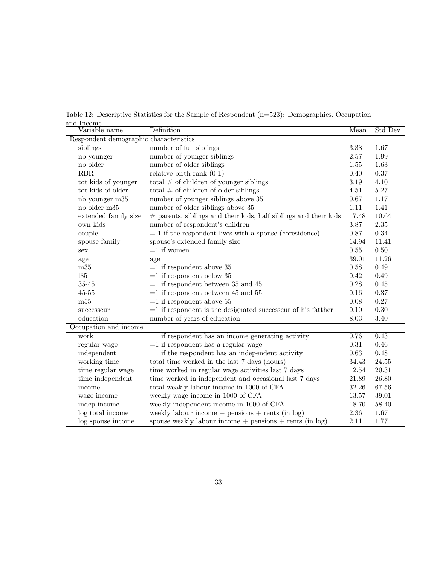Table 12: Descriptive Statistics for the Sample of Respondent (n=523): Demographics, Occupation and Income

| Variable name                          | Definition                                                         | Mean     | Std Dev   |  |  |  |
|----------------------------------------|--------------------------------------------------------------------|----------|-----------|--|--|--|
| Respondent demographic characteristics |                                                                    |          |           |  |  |  |
| siblings                               | number of full siblings                                            | 3.38     | 1.67      |  |  |  |
| nb younger                             | number of younger siblings                                         | 2.57     | 1.99      |  |  |  |
| nb older                               | number of older siblings                                           | 1.55     | 1.63      |  |  |  |
| <b>RBR</b>                             | relative birth rank $(0-1)$                                        | 0.40     | 0.37      |  |  |  |
| tot kids of younger                    | total $#$ of children of younger siblings                          | 3.19     | 4.10      |  |  |  |
| tot kids of older                      | total $#$ of children of older siblings                            | 4.51     | $5.27\,$  |  |  |  |
| nb younger m35                         | number of younger siblings above 35                                | $0.67\,$ | 1.17      |  |  |  |
| nb older m35                           | number of older siblings above 35                                  | 1.11     | 1.41      |  |  |  |
| extended family size                   | $#$ parents, siblings and their kids, half siblings and their kids | 17.48    | 10.64     |  |  |  |
| own kids                               | number of respondent's children                                    | 3.87     | 2.35      |  |  |  |
| couple                                 | $= 1$ if the respondent lives with a spouse (coresidence)          | 0.87     | 0.34      |  |  |  |
| spouse family                          | spouse's extended family size                                      | 14.94    | 11.41     |  |  |  |
| sex                                    | $=1$ if women                                                      | $0.55\,$ | $0.50\,$  |  |  |  |
| age                                    | age                                                                | 39.01    | 11.26     |  |  |  |
| m35                                    | $=1$ if respondent above 35                                        | 0.58     | 0.49      |  |  |  |
| 135                                    | $=1$ if respondent below 35                                        | 0.42     | 0.49      |  |  |  |
| $35 - 45$                              | $=1$ if respondent between 35 and 45                               | 0.28     | 0.45      |  |  |  |
| $45 - 55$                              | $=1$ if respondent between 45 and 55                               | 0.16     | 0.37      |  |  |  |
| m55                                    | $=1$ if respondent above 55                                        | 0.08     | 0.27      |  |  |  |
| successeur                             | $=1$ if respondent is the designated successeur of his fatther     | 0.10     | 0.30      |  |  |  |
| education                              | number of years of education                                       | 8.03     | 3.40      |  |  |  |
| Occupation and income                  |                                                                    |          |           |  |  |  |
| work                                   | $=1$ if respondent has an income generating activity               | 0.76     | 0.43      |  |  |  |
| regular wage                           | $=1$ if respondent has a regular wage                              | 0.31     | 0.46      |  |  |  |
| independent                            | $=1$ if the respondent has an independent activity                 | 0.63     | 0.48      |  |  |  |
| working time                           | total time worked in the last 7 days (hours)                       | 34.43    | $24.55\,$ |  |  |  |
| time regular wage                      | time worked in regular wage activities last 7 days                 | 12.54    | 20.31     |  |  |  |
| time independent                       | time worked in independent and occasional last 7 days              | 21.89    | 26.80     |  |  |  |
| income                                 | total weakly labour income in 1000 of CFA                          | 32.26    | 67.56     |  |  |  |
| wage income                            | weekly wage income in 1000 of CFA                                  | 13.57    | 39.01     |  |  |  |
| indep income                           | weekly independent income in 1000 of CFA                           | 18.70    | 58.40     |  |  |  |
| log total income                       | weekly labour income $+$ pensions $+$ rents (in log)               | $2.36\,$ | 1.67      |  |  |  |
| log spouse income                      | spouse weakly labour income $+$ pensions $+$ rents (in log)        | 2.11     | 1.77      |  |  |  |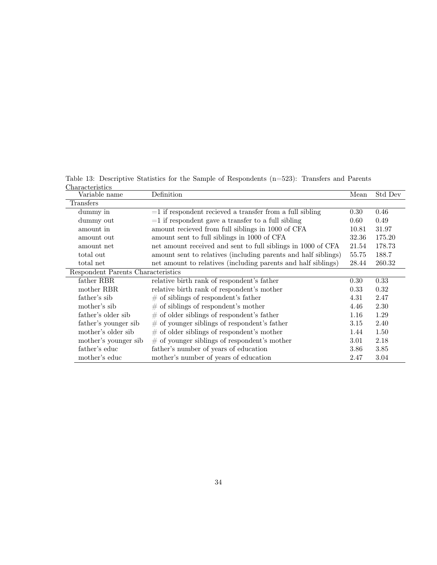Table 13: Descriptive Statistics for the Sample of Respondents (n=523): Transfers and Parents **Characteristics** 

| Variable name                      | Definition                                                     | Mean  | Std Dev |
|------------------------------------|----------------------------------------------------------------|-------|---------|
| Transfers                          |                                                                |       |         |
| dummy in                           | $=$ 1 if respondent recieved a transfer from a full sibling    | 0.30  | 0.46    |
| dummy out                          | $=$ 1 if respondent gave a transfer to a full sibling          | 0.60  | 0.49    |
| amount in                          | amount recieved from full siblings in 1000 of CFA              | 10.81 | 31.97   |
| amount out                         | amount sent to full siblings in 1000 of CFA                    | 32.36 | 175.20  |
| amount net                         | net amount received and sent to full siblings in 1000 of CFA   | 21.54 | 178.73  |
| total out                          | amount sent to relatives (including parents and half siblings) | 55.75 | 188.7   |
| total net                          | net amount to relatives (including parents and half siblings)  | 28.44 | 260.32  |
| Respondent Parents Characteristics |                                                                |       |         |
| father RBR                         | relative birth rank of respondent's father                     | 0.30  | 0.33    |
| mother RBR                         | relative birth rank of respondent's mother                     | 0.33  | 0.32    |
| father's sib                       | $\#$ of siblings of respondent's father                        | 4.31  | 2.47    |
| mother's sib                       | $\#$ of siblings of respondent's mother                        | 4.46  | 2.30    |
| father's older sib                 | $\#$ of older siblings of respondent's father                  | 1.16  | 1.29    |
| father's younger sib               | $#$ of younger siblings of respondent's father                 | 3.15  | 2.40    |
| mother's older sib                 | $#$ of older siblings of respondent's mother                   | 1.44  | 1.50    |
| mother's younger sib               | $\#$ of younger siblings of respondent's mother                | 3.01  | 2.18    |
| father's educ                      | father's number of years of education                          | 3.86  | 3.85    |
| mother's educ                      | mother's number of years of education                          | 2.47  | 3.04    |